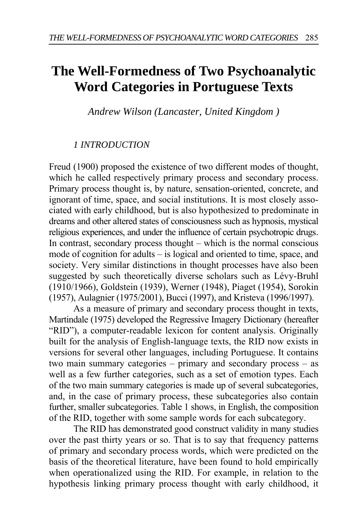# **The Well-Formedness of Two Psychoanalytic Word Categories in Portuguese Texts**

*Andrew Wilson (Lancaster, United Kingdom )* 

## *1 INTRODUCTION*

Freud (1900) proposed the existence of two different modes of thought, which he called respectively primary process and secondary process. Primary process thought is, by nature, sensation-oriented, concrete, and ignorant of time, space, and social institutions. It is most closely associated with early childhood, but is also hypothesized to predominate in dreams and other altered states of consciousness such as hypnosis, mystical religious experiences, and under the influence of certain psychotropic drugs. In contrast, secondary process thought – which is the normal conscious mode of cognition for adults – is logical and oriented to time, space, and society. Very similar distinctions in thought processes have also been suggested by such theoretically diverse scholars such as Lévy-Bruhl (1910/1966), Goldstein (1939), Werner (1948), Piaget (1954), Sorokin (1957), Aulagnier (1975/2001), Bucci (1997), and Kristeva (1996/1997).

As a measure of primary and secondary process thought in texts, Martindale (1975) developed the Regressive Imagery Dictionary (hereafter "RID"), a computer-readable lexicon for content analysis. Originally built for the analysis of English-language texts, the RID now exists in versions for several other languages, including Portuguese. It contains two main summary categories – primary and secondary process – as well as a few further categories, such as a set of emotion types. Each of the two main summary categories is made up of several subcategories, and, in the case of primary process, these subcategories also contain further, smaller subcategories. Table 1 shows, in English, the composition of the RID, together with some sample words for each subcategory.

The RID has demonstrated good construct validity in many studies over the past thirty years or so. That is to say that frequency patterns of primary and secondary process words, which were predicted on the basis of the theoretical literature, have been found to hold empirically when operationalized using the RID. For example, in relation to the hypothesis linking primary process thought with early childhood, it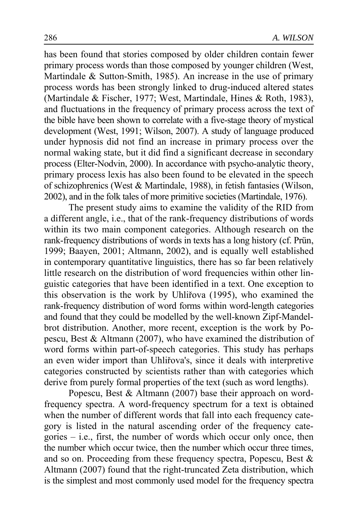has been found that stories composed by older children contain fewer primary process words than those composed by younger children (West, Martindale & Sutton-Smith, 1985). An increase in the use of primary process words has been strongly linked to drug-induced altered states (Martindale & Fischer, 1977; West, Martindale, Hines & Roth, 1983), and fluctuations in the frequency of primary process across the text of the bible have been shown to correlate with a five-stage theory of mystical development (West, 1991; Wilson, 2007). A study of language produced under hypnosis did not find an increase in primary process over the normal waking state, but it did find a significant decrease in secondary process (Elter-Nodvin, 2000). In accordance with psycho-analytic theory, primary process lexis has also been found to be elevated in the speech of schizophrenics (West & Martindale, 1988), in fetish fantasies (Wilson, 2002), and in the folk tales of more primitive societies (Martindale, 1976).

The present study aims to examine the validity of the RID from a different angle, i.e., that of the rank-frequency distributions of words within its two main component categories. Although research on the rank-frequency distributions of words in texts has a long history (cf. Prün, 1999; Baayen, 2001; Altmann, 2002), and is equally well established in contemporary quantitative linguistics, there has so far been relatively little research on the distribution of word frequencies within other linguistic categories that have been identified in a text. One exception to this observation is the work by Uhliřova (1995), who examined the rank-frequency distribution of word forms within word-length categories and found that they could be modelled by the well-known Zipf-Mandelbrot distribution. Another, more recent, exception is the work by Popescu, Best & Altmann (2007), who have examined the distribution of word forms within part-of-speech categories. This study has perhaps an even wider import than Uhliřova's, since it deals with interpretive categories constructed by scientists rather than with categories which derive from purely formal properties of the text (such as word lengths).

Popescu, Best & Altmann (2007) base their approach on wordfrequency spectra. A word-frequency spectrum for a text is obtained when the number of different words that fall into each frequency category is listed in the natural ascending order of the frequency categories – i.e., first, the number of words which occur only once, then the number which occur twice, then the number which occur three times, and so on. Proceeding from these frequency spectra, Popescu, Best & Altmann (2007) found that the right-truncated Zeta distribution, which is the simplest and most commonly used model for the frequency spectra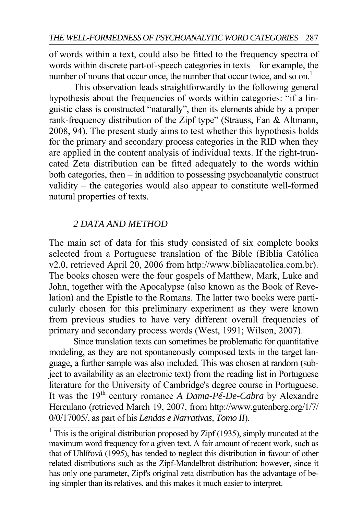of words within a text, could also be fitted to the frequency spectra of words within discrete part-of-speech categories in texts – for example, the number of nouns that occur once, the number that occur twice, and so on.<sup>1</sup>

This observation leads straightforwardly to the following general hypothesis about the frequencies of words within categories: "if a linguistic class is constructed "naturally", then its elements abide by a proper rank-frequency distribution of the Zipf type" (Strauss, Fan & Altmann, 2008, 94). The present study aims to test whether this hypothesis holds for the primary and secondary process categories in the RID when they are applied in the content analysis of individual texts. If the right-truncated Zeta distribution can be fitted adequately to the words within both categories, then – in addition to possessing psychoanalytic construct validity – the categories would also appear to constitute well-formed natural properties of texts.

## *2 DATA AND METHOD*

The main set of data for this study consisted of six complete books selected from a Portuguese translation of the Bible (Bíblia Católica v2.0, retrieved April 20, 2006 from http://www.bibliacatolica.com.br). The books chosen were the four gospels of Matthew, Mark, Luke and John, together with the Apocalypse (also known as the Book of Revelation) and the Epistle to the Romans. The latter two books were particularly chosen for this preliminary experiment as they were known from previous studies to have very different overall frequencies of primary and secondary process words (West, 1991; Wilson, 2007).

Since translation texts can sometimes be problematic for quantitative modeling, as they are not spontaneously composed texts in the target language, a further sample was also included. This was chosen at random (subject to availability as an electronic text) from the reading list in Portuguese literature for the University of Cambridge's degree course in Portuguese. It was the 19th century romance *A Dama-Pé-De-Cabra* by Alexandre Herculano (retrieved March 19, 2007, from http://www.gutenberg.org/1/7/ 0/0/17005/, as part of his *Lendas e Narrativas, Tomo II*).

<sup>&</sup>lt;sup>1</sup> This is the original distribution proposed by Zipf (1935), simply truncated at the maximum word frequency for a given text. A fair amount of recent work, such as that of Uhlířová (1995), has tended to neglect this distribution in favour of other related distributions such as the Zipf-Mandelbrot distribution; however, since it has only one parameter, Zipf's original zeta distribution has the advantage of being simpler than its relatives, and this makes it much easier to interpret.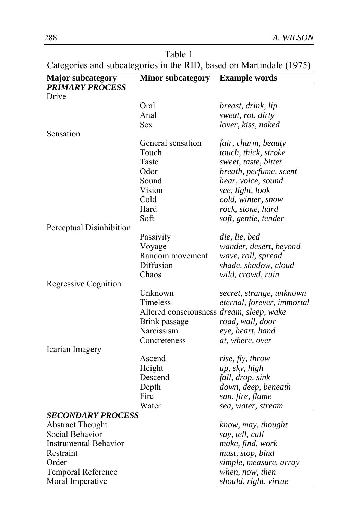| Table 1                                                             |  |
|---------------------------------------------------------------------|--|
| Categories and subcategories in the RID, based on Martindale (1975) |  |

| <b>Major subcategory</b>     | <b>Minor subcategory</b>                 | <b>Example words</b>       |
|------------------------------|------------------------------------------|----------------------------|
| <b>PRIMARY PROCESS</b>       |                                          |                            |
| Drive                        |                                          |                            |
|                              | Oral                                     | breast, drink, lip         |
|                              | Anal                                     | sweat, rot, dirty          |
|                              | Sex                                      | lover, kiss, naked         |
| Sensation                    |                                          |                            |
|                              | General sensation                        | fair, charm, beauty        |
|                              | Touch                                    | touch, thick, stroke       |
|                              | Taste                                    | sweet, taste, bitter       |
|                              | Odor                                     | breath, perfume, scent     |
|                              | Sound                                    | hear, voice, sound         |
|                              | Vision                                   | see, light, look           |
|                              | Cold                                     | cold, winter, snow         |
|                              | Hard                                     | rock, stone, hard          |
|                              | Soft                                     | soft, gentle, tender       |
| Perceptual Disinhibition     |                                          |                            |
|                              | Passivity                                | die, lie, bed              |
|                              | Voyage                                   | wander, desert, beyond     |
|                              | Random movement                          | wave, roll, spread         |
|                              | Diffusion                                | shade, shadow, cloud       |
|                              | Chaos                                    | wild, crowd, ruin          |
| Regressive Cognition         |                                          |                            |
|                              | Unknown                                  | secret, strange, unknown   |
|                              | Timeless                                 | eternal, forever, immortal |
|                              | Altered consciousness dream, sleep, wake |                            |
|                              | Brink passage                            | road, wall, door           |
|                              | Narcissism                               | eye, heart, hand           |
|                              | Concreteness                             | at, where, over            |
| Icarian Imagery              |                                          |                            |
|                              | Ascend                                   | rise, fly, throw           |
|                              | Height                                   | up, sky, high              |
|                              | Descend                                  | fall, drop, sink           |
|                              | Depth                                    | down, deep, beneath        |
|                              | Fire                                     | sun, fire, flame           |
|                              | Water                                    | sea, water, stream         |
| <b>SECONDARY PROCESS</b>     |                                          |                            |
| <b>Abstract Thought</b>      |                                          | know, may, thought         |
| Social Behavior              |                                          | say, tell, call            |
| <b>Instrumental Behavior</b> |                                          | make, find, work           |
| Restraint                    |                                          | must, stop, bind           |
| Order                        |                                          | simple, measure, array     |
| Temporal Reference           |                                          | when, now, then            |
| Moral Imperative             |                                          | should, right, virtue      |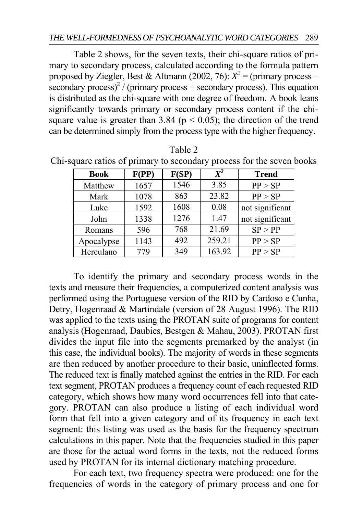Table 2 shows, for the seven texts, their chi-square ratios of primary to secondary process, calculated according to the formula pattern proposed by Ziegler, Best & Altmann (2002, 76):  $X^2$  = (primary process –  $\frac{\text{secondary process}}{2}$  / (primary process + secondary process). This equation is distributed as the chi-square with one degree of freedom. A book leans significantly towards primary or secondary process content if the chisquare value is greater than 3.84 ( $p < 0.05$ ); the direction of the trend can be determined simply from the process type with the higher frequency.

| <b>Book</b> | F(PP) | F(SP) | $X^2$  | <b>Trend</b>    |
|-------------|-------|-------|--------|-----------------|
| Matthew     | 1657  | 1546  | 3.85   | PP > SP         |
| Mark        | 1078  | 863   | 23.82  | PP > SP         |
| Luke        | 1592  | 1608  | 0.08   | not significant |
| John        | 1338  | 1276  | 1.47   | not significant |
| Romans      | 596   | 768   | 21.69  | SP > PP         |
| Apocalypse  | 1143  | 492   | 259.21 | PP > SP         |
| Herculano   | 779   | 349   | 163.92 | PP > SP         |

Table 2 Chi-square ratios of primary to secondary process for the seven books

To identify the primary and secondary process words in the texts and measure their frequencies, a computerized content analysis was performed using the Portuguese version of the RID by Cardoso e Cunha, Detry, Hogenraad & Martindale (version of 28 August 1996). The RID was applied to the texts using the PROTAN suite of programs for content analysis (Hogenraad, Daubies, Bestgen & Mahau, 2003). PROTAN first divides the input file into the segments premarked by the analyst (in this case, the individual books). The majority of words in these segments are then reduced by another procedure to their basic, uninflected forms. The reduced text is finally matched against the entries in the RID. For each text segment, PROTAN produces a frequency count of each requested RID category, which shows how many word occurrences fell into that category. PROTAN can also produce a listing of each individual word form that fell into a given category and of its frequency in each text segment: this listing was used as the basis for the frequency spectrum calculations in this paper. Note that the frequencies studied in this paper are those for the actual word forms in the texts, not the reduced forms used by PROTAN for its internal dictionary matching procedure.

For each text, two frequency spectra were produced: one for the frequencies of words in the category of primary process and one for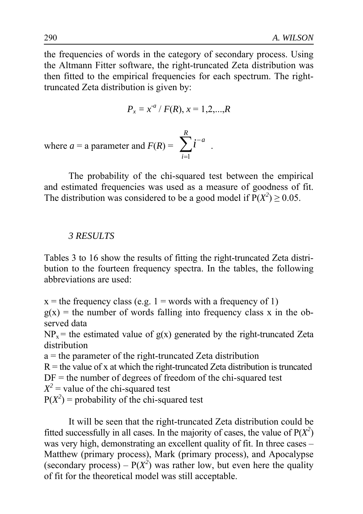the frequencies of words in the category of secondary process. Using the Altmann Fitter software, the right-truncated Zeta distribution was then fitted to the empirical frequencies for each spectrum. The righttruncated Zeta distribution is given by:

$$
P_x = x^{a} / F(R), x = 1, 2, ..., R
$$

where  $a = a$  parameter and  $F(R) = \sum_{n=1}^{\infty} l^{n}$ . 1  $\sum_{i=a}^{R}$ *i i* −  $\sum_{i=1}$ 

The probability of the chi-squared test between the empirical and estimated frequencies was used as a measure of goodness of fit. The distribution was considered to be a good model if  $P(X^2) \ge 0.05$ .

### *3 RESULTS*

Tables 3 to 16 show the results of fitting the right-truncated Zeta distribution to the fourteen frequency spectra. In the tables, the following abbreviations are used:

 $x =$  the frequency class (e.g. 1 = words with a frequency of 1)  $g(x)$  = the number of words falling into frequency class x in the observed data

 $NP_x$  = the estimated value of  $g(x)$  generated by the right-truncated Zeta distribution

a = the parameter of the right-truncated Zeta distribution

 $R =$  the value of x at which the right-truncated Zeta distribution is truncated

 $DF =$  the number of degrees of freedom of the chi-squared test

 $X^2$  = value of the chi-squared test

 $P(X^2)$  = probability of the chi-squared test

It will be seen that the right-truncated Zeta distribution could be fitted successfully in all cases. In the majority of cases, the value of  $P(X^2)$ was very high, demonstrating an excellent quality of fit. In three cases – Matthew (primary process), Mark (primary process), and Apocalypse (secondary process) –  $P(X^2)$  was rather low, but even here the quality of fit for the theoretical model was still acceptable.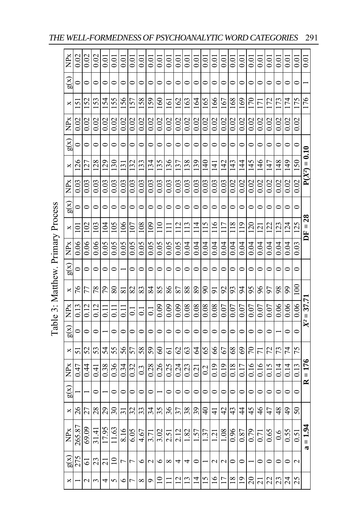|                                   | ŘK                                      | 0.02            | $\frac{0.02}{0.02}$ |                   | 0.01           | 0.01     | $rac{0.01}{0.01}$   |                                                | $\overline{0.0}$ |                   | $\frac{0.01}{0.01}$ |                  |         | $rac{10}{10}$   | 0.01                | 0.01            | 0.01              |                     | $\frac{10}{10}$     |               | 0.01            | 0.01              | 0.01    | 0.01    |         | $\frac{100}{100}$ |                     |
|-----------------------------------|-----------------------------------------|-----------------|---------------------|-------------------|----------------|----------|---------------------|------------------------------------------------|------------------|-------------------|---------------------|------------------|---------|-----------------|---------------------|-----------------|-------------------|---------------------|---------------------|---------------|-----------------|-------------------|---------|---------|---------|-------------------|---------------------|
|                                   | g(x)                                    | $\circ$         | $\circ$             | $\circ$           | $\circ$        | $\circ$  | $\circ$             | $\circ$                                        | $\circ$          | $\circ$           | $\circ$             | $\circ$          | $\circ$ | $\circ$         | $\circ$             | $\circ$         | $\circ$           | $\circ$             | $\circ$             | $\circ$       | $\circ$         | $\circ$           | $\circ$ | $\circ$ | $\circ$ | $\circ$           |                     |
|                                   | $\boldsymbol{\times}$                   | $\overline{51}$ | 152                 | 153               | 154            | 155      | 157<br>157          |                                                | 158              | 159               | 160                 | $\overline{161}$ | 162     | 163             | 164                 | 165             | 166               | 167                 | 168                 | 169           | 170             | $\overline{171}$  | 172     | 173     | 174     | $\frac{175}{176}$ |                     |
|                                   | <b>NPx</b>                              | 0.02            | 0.02                | 0.02              | 0.02           | 0.02     | 0.02                | $\overline{0.02}$                              | 0.02             | 0.02              | $\frac{0.02}{0.02}$ |                  | 0.02    |                 | $\frac{0.02}{0.02}$ | 0.02            | 0.02              | 0.02                | 0.02                | 0.02          | 0.02            | $\overline{0.02}$ | 0.02    | 0.02    | 0.02    | 0.02              |                     |
|                                   | g(x)                                    |                 | $\circ$             | $\circ$           | $\bullet$      | $\circ$  | $\circ$             | $\circ$                                        | $\circ$          | $\circ$           | $\circ$             | $\circ$          | $\circ$ | $\circ$         | $\bullet$           | $\circ$         | $\circ$           | $\circ$             | $\circ$             | $\circ$       | $\circ$         | $\circ$           | $\circ$ | $\circ$ | $\circ$ | $\circ$           |                     |
|                                   | $\Join$                                 |                 | $\frac{125}{128}$   |                   | 129            | 130      | $\frac{131}{132}$   |                                                | 133              | 134               | 135                 | 136              | 137     | 138             | 139                 | 140             | 141               | 142                 | 143                 | 144           | 145             | 146               | 147     | 148     | 149     | 150               | $P(X^2) = 0.10$     |
|                                   | <b>NPx</b>                              |                 | $\frac{0.03}{0.03}$ | $\frac{1}{2}$     | 0.03           | 0.03     |                     | $rac{3}{2}$ $rac{3}{2}$ $rac{3}{2}$            |                  |                   | $\frac{0.03}{0.03}$ |                  | 0.03    |                 | $\frac{0.03}{0.03}$ | 0.03            | 0.03              | $\frac{0.03}{0.02}$ |                     |               | $\frac{8}{100}$ |                   | 0.02    | 0.02    | 0.02    | 0.02              |                     |
|                                   | g(x)                                    | $\circ$         | $\circ$             | $\circ$           | $\circ$        | $\circ$  | $\circ$             | $\circ$                                        | $\circ$          | $\circ$           | $\circ$             | $\circ$          | $\circ$ | $\circ$         | $\circ$             | $\circ$         | $\circ$           | $\circ$             | $\circ$             | $\circ$       | $\circ$         | $\circ$           | $\circ$ | $\circ$ | $\circ$ | $\circ$           |                     |
|                                   | ×                                       | $\overline{Q}$  |                     | $\frac{102}{103}$ | 104            | 501      |                     | $\frac{8}{2}$ $\frac{5}{2}$                    |                  | $\frac{109}{110}$ |                     |                  |         | $\frac{11}{11}$ | $\overline{11}$     | 115             | $\overline{116}$  | 117                 | 118                 | 119           |                 | $\frac{120}{121}$ | 122     | 123     | 124     | 125               | $DF = 28$           |
|                                   | <b>NPx</b>                              | 0.06            | 0.06                | 0.06              | 0.05           | 0.05     |                     | $rac{0.05}{0.05}$                              |                  | 0.05              | 0.05                | 0.05             | 0.05    | 0.04            | 0.04                | 0.04            | 0.04              | $\frac{0.04}{0.04}$ |                     | 0.04          | $rac{1}{2}$     |                   | 0.04    | 0.04    | 0.04    | 0.03              |                     |
|                                   | g(x)                                    | $\circ$         | $\circ$             | $\circ$           | $\circ$        | $\circ$  |                     | $\circ$                                        | $\circ$          | $\circ$           | $\circ$             | $\circ$          | $\circ$ | $\circ$         | $\circ$             | $\circ$         | $\circ$           | $\circ$             | $\circ$             | $\circ$       | $\circ$         | $\circ$           | $\circ$ | $\circ$ | $\circ$ | $\circ$           |                     |
|                                   |                                         | $\frac{8}{x}$   | 77                  | $78\,$            | 79             | $\rm 80$ | $\frac{81}{2}$      |                                                | 83               | 84                | 85                  | 86               | 87      | $88\,$          | $\, 89$             | $\frac{5}{91}$  |                   | $\mathcal{S}$       | 93                  |               | $ z z $ %       |                   |         | 588     |         | 100               |                     |
| Table 3: Matthew. Primary Process | $\mathop{\rm NP}\nolimits_{\mathbb{X}}$ | 0.13            | $\frac{0.12}{0.12}$ |                   |                |          | $\overline{11}$     | $\overline{0}$                                 | $\overline{0}$ . | $\overline{0}$ .  | 0.09                | 0.09             | 0.09    |                 | $\frac{0.08}{0.08}$ | 0.08            | 0.08              | $\frac{0.07}{0.07}$ |                     | $0.07\,$      | $0.07$          | 0.07              | $0.07$  | 0.06    | 0.06    | 0.06              | $X^2 = 37.71$       |
|                                   | g(x)                                    | $\circ$         | $\circ$             | $\circ$           |                | $\circ$  | $\circ$             | $\circ$                                        | $\circ$          | $\circ$           | $\circ$             | $\circ$          | $\circ$ | $\circ$         | $\circ$             | $\circ$         | $\circ$           | $\circ$             | $\circ$             | $\circ$       | $\circ$         | $\circ$           | $\circ$ |         | $\circ$ | $\circ$           |                     |
|                                   | ×                                       | 51              | 52 <sub>5</sub>     |                   | 54             | 55       | 57                  |                                                | $rac{58}{59}$    |                   | $\mbox{60}$         | $\overline{6}$   |         | $\frac{62}{63}$ | $\mathcal{Q}$       | 65              | $99$              |                     | <u>리치의의의</u>        |               |                 |                   | 72      | 73      | 74      | 75                |                     |
|                                   | NP <sub>x</sub>                         | 0.47            | 0.44                | 0.41              | 0.38           | 0.36     | $\frac{0.34}{0.32}$ |                                                | 0.3              | 0.28              | $\frac{0.26}{0.25}$ |                  | 0.24    | 0.23            | 0.21                | 0.2             | 0.19              | 0.19                | 0.18                | 0.17          | 0.16            | 0.16              | 0.15    | 0.14    | 0.14    | 0.13              | $\frac{1}{R} = 176$ |
|                                   | g(x)                                    |                 |                     | $\circ$           |                | $\circ$  | $\circ$             | $\circ$                                        | $\circ$          | $\circ$           |                     | $\circ$          | $\circ$ | $\circ$         | $\circ$             | $\circ$         | $\circ$           | $\circ$             | $\circ$             | $\circ$       | $\circ$         | $\circ$           | $\circ$ | $\circ$ | $\circ$ | $\circ$           |                     |
|                                   | $\Join$                                 | 26              | $\frac{27}{28}$     |                   | 29             | 30       | $\frac{31}{2}$      |                                                | 33               | 34                | 35                  | 36               | 37      | 38              | 39                  | $\overline{40}$ | $\frac{4}{1}$     | 42                  | 43                  | $\frac{4}{3}$ | 45              | 46                | 47      | 48      | 49      | $50\,$            |                     |
|                                   | NPx                                     | 265.87          | 60.69               | 31.41             | 17.95          | 11.63    | 8.16                |                                                | 4.67             | 3.71              | 3.02                | 2.51             | 2.12    | 1.82            | 1.57                | 1.37            | 1.21              | 1.08                | $\frac{0.96}{0.87}$ |               | 0.79            | 0.71              | 0.65    | 0.6     | 0.55    | 0.51              | $= 1.94$            |
|                                   | $\widetilde{\mathrm{g}}(\mathrm{x})$    |                 | $\frac{25}{3}$      |                   | $\overline{z}$ | $\Xi$    | トト                  |                                                | $\circ$          | $\mathbf{c}$      | $\circ$             | $\infty$         | 4       | 4               | $\circ$             |                 | $\mathbf{\Omega}$ | $\mathbf{\sim}$     | $\circ$             | $\circ$       |                 | $\circ$           | $\circ$ | $\circ$ | $\circ$ | Z                 |                     |
|                                   | $\boldsymbol{\times}$                   |                 |                     |                   |                |          |                     | · ~ ~ + ~ ~ ~ ~ > 의그 ¤ ¤ ± ¤ ¤ = ¤ ೩ ন ঝ ঝ ೩ ೩ |                  |                   |                     |                  |         |                 |                     |                 |                   |                     |                     |               |                 |                   |         |         |         |                   |                     |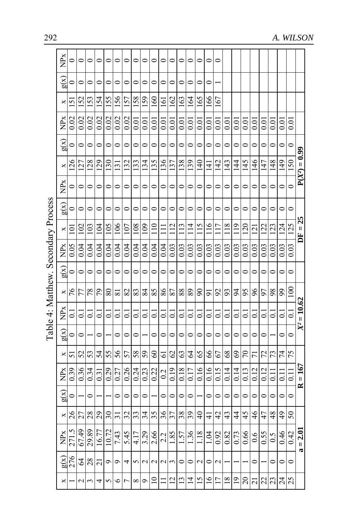|                                     | NPx                                     |                |                               |         | 0 0 0 0 0 0 0 0 0 0 0 0 0 0 0                                                                                              |                     |                 |                             |         |                 |                           |         |                                |                     |     |                |                                                   |                     |                   |         |                 |                                     |         |                         |          |           |                 |
|-------------------------------------|-----------------------------------------|----------------|-------------------------------|---------|----------------------------------------------------------------------------------------------------------------------------|---------------------|-----------------|-----------------------------|---------|-----------------|---------------------------|---------|--------------------------------|---------------------|-----|----------------|---------------------------------------------------|---------------------|-------------------|---------|-----------------|-------------------------------------|---------|-------------------------|----------|-----------|-----------------|
|                                     | $\widetilde{\mathrm{R}}$                | $\circ$        | $\circ$                       | $\circ$ | $\circ$                                                                                                                    | $\circ$             |                 | $\circ$                     | $\circ$ |                 | $\circ$                   | $\circ$ | $\circ$                        | $\circ$             |     | $\circ$        | $\circ$                                           |                     |                   |         |                 |                                     |         |                         |          |           |                 |
|                                     | $\boldsymbol{\times}$                   | $\overline{5}$ | 152                           | 153     | 154                                                                                                                        | 155                 | 156             | 157                         | 158     | 159             | 160                       | 161     | 162                            | 163                 | 164 | 165            | 166                                               | 167                 |                   |         |                 |                                     |         |                         |          |           |                 |
|                                     | NPx                                     | 0.02           | 0.02                          | 0.02    | 0.02                                                                                                                       | 0.02                | 0.02            | 0.02                        | 0.01    | $rac{1}{2}$     |                           | 0.01    |                                | $\frac{0.01}{0.01}$ |     | $rac{10}{100}$ | 0.01                                              | $\overline{0}$ .    | $\overline{0.0}$  | 0.01    | $\overline{0}$  | 0.01                                | 0.01    | $\overline{0}$          | 0.01     | $_{0.01}$ |                 |
|                                     | $\widetilde{\mathrm{g}}(\mathrm{x})$    |                | $\circ$                       |         | $\circ$ $\circ$ $\circ$                                                                                                    |                     |                 | $\circ$                     | $\circ$ |                 | $\circ$                   | $\circ$ |                                | $\circ$             |     |                | $\circ$ $\circ$ $\circ$                           |                     | $\circ$           | $\circ$ | $\circ$         |                                     | $\circ$ |                         | $\circ$  | $\circ$   |                 |
|                                     |                                         |                |                               |         |                                                                                                                            |                     |                 |                             |         |                 | $\frac{155}{255}$         |         |                                |                     |     |                | 핑몰타동물                                             |                     |                   |         |                 | <u> 김승수 중국</u>                      |         |                         |          |           | $P(X^2) = 0.99$ |
|                                     | $\frac{N}{2}$                           |                |                               |         |                                                                                                                            |                     |                 |                             |         |                 |                           |         |                                |                     |     |                |                                                   |                     |                   |         |                 |                                     |         |                         |          | $\circ$   |                 |
|                                     | g(x)                                    |                |                               |         |                                                                                                                            |                     |                 |                             |         |                 |                           |         |                                |                     |     |                |                                                   |                     |                   |         |                 |                                     |         |                         |          | $\circ$   |                 |
|                                     | $\times$                                |                |                               |         | <u>리테리티티티티</u>                                                                                                             |                     |                 |                             |         |                 | $\frac{109}{110}$         |         | $\frac{11}{2}$ $\frac{12}{13}$ |                     |     |                |                                                   |                     |                   |         |                 |                                     |         |                         |          | 125       | $DF = 25$       |
|                                     | $\sum_{i=1}^{n}$                        |                | $rac{0.05}{0.04}$             | 0.04    |                                                                                                                            | $\frac{0.04}{0.04}$ | 0.04            | $\frac{0.04}{0.04}$         |         | 0.04            | $\frac{0.04}{2}$          | 0.04    | $\frac{0.03}{0.03}$            |                     |     |                | <u>ချချချချချ</u>                                 |                     |                   |         |                 | $rac{0.03}{0.03}$                   |         | $\frac{3}{0.03}$        |          | 0.03      |                 |
|                                     | g(x)                                    |                |                               |         | $\circ$ $\circ$ $\circ$ $\circ$ $\circ$                                                                                    |                     |                 | $\circ$ $\circ$ $\circ$     |         |                 | $\circ$                   |         | $\circ$ $\circ$                |                     |     |                | $\circ$ $\circ$ $\circ$ $\circ$ $\circ$           |                     |                   |         | $\circ$ $\circ$ |                                     |         | $\circ$ $\circ$ $\circ$ |          | $\circ$   |                 |
|                                     |                                         |                |                               |         | $ \mathcal{L} \mathcal{L} \mathcal{L} \mathcal{L} \mathcal{L} \mathcal{L} \mathcal{L} \mathcal{L} \mathcal{L} \mathcal{L}$ |                     |                 |                             |         |                 |                           |         |                                |                     |     |                |                                                   |                     |                   |         |                 | ᅒនୗୡୗଌୗଌୗଌୗଌୗଌୗଌୗଌୗଌୗୡୗଌୗଌୗଌ        |         |                         |          | 100       |                 |
| Table 4: Matthew. Secondary Process | Ř                                       |                |                               |         | 리의의의의의의의의의의의의의                                                                                                             |                     |                 |                             |         |                 |                           |         |                                |                     |     |                |                                                   |                     |                   |         |                 | <u>alalalalalalalala</u> l          |         |                         |          | 0.1       | $X^2 = 10.62$   |
|                                     | $\widetilde{\mathrm{g}}(\mathrm{x})$    |                | $  \circ  $                   |         | $ \circ$ $\cdot$                                                                                                           |                     |                 |                             |         |                 |                           |         |                                |                     |     |                |                                                   |                     |                   |         |                 | 0 0 0 - 0 0 0 0 0 0 0 0 0 0 0 0 - 0 |         |                         |          | $\circ$   |                 |
|                                     | $\boldsymbol{\times}$                   | 5              | 52                            |         | ន $\frac{2}{3}$ ន                                                                                                          |                     | 55 <sub>7</sub> |                             | $58\,$  | $\frac{60}{50}$ |                           |         | ତ $ \mathbb{S} $ ଞ             |                     |     | $\frac{2}{5}$  | $99$                                              | $\epsilon$          | 68                |         | $\frac{58}{20}$ |                                     |         | $72 \overline{)74}$     |          | 75        |                 |
|                                     | $\sum_{\mathbf{X}}$                     |                | $\frac{0.39}{0.36}$           |         | 3 3 2 2 3 3 3 3 3 3 3 3                                                                                                    |                     |                 |                             |         |                 |                           |         |                                | $rac{0.19}{0.18}$   |     |                | $\frac{0.17}{0.16}$                               |                     | $rac{0.15}{0.14}$ | 0.14    |                 | $\frac{0.13}{0.12}$                 | 0.12    | $\overline{0}$          | $0.11\,$ | 0.11      | $R = 167$       |
|                                     | $\widetilde{\mathrm{g}}(\mathrm{x})$    | $\circ$        |                               |         | $\circ$ $\sim$                                                                                                             |                     |                 | $\circ$ $\circ$ $\circ$     |         |                 | $\circ$ $\vdash$          | $\circ$ |                                | $\circ$             |     |                | $\circ$  -  $\circ$   $\circ$   $\circ$   $\circ$ |                     |                   |         |                 | $\circ$  0 0 0 0                    |         |                         |          | $\circ$   |                 |
|                                     | $\times$                                |                | $\frac{8}{22}$                |         |                                                                                                                            | 30                  |                 | $\frac{1}{2}$ $\frac{1}{2}$ |         |                 |                           |         |                                |                     |     |                |                                                   |                     |                   |         |                 | <u> ၛၟၛၛၛၛၛၛၛၛၛၛၛၛၛၛ</u>            |         |                         |          | $50\,$    |                 |
|                                     | $\mathop{\rm NP}\nolimits_{\mathbb{X}}$ | 271.5          | 67.49                         | 29.89   | 16.77                                                                                                                      | 10.72               |                 | $\frac{743}{545}$           |         |                 | $\frac{3.29}{2.66}$       |         |                                |                     |     |                | $\frac{2 3 5 }{ 1 5 }$                            | $\frac{0.92}{0.82}$ |                   |         |                 | $\frac{0.66}{0.6}$                  |         | $\frac{0.55}{0.46}$     |          | 0.42      | $= 2.01$        |
|                                     | g(x)                                    |                | $\frac{25}{3}$ $\frac{25}{3}$ |         |                                                                                                                            | $\mathbf 0$         | $\sim$ 4        |                             |         |                 | n u u u u o o u o u - - - |         |                                |                     |     |                |                                                   |                     |                   |         |                 | - 0 - 0 0                           |         |                         |          | $\circ$   |                 |
|                                     |                                         |                |                               |         | * - ~ ~ + ~ ~ ~ ~ ^ 의= 의의리의의의이이이이이이이이                                                                                      |                     |                 |                             |         |                 |                           |         |                                |                     |     |                |                                                   |                     |                   |         |                 |                                     |         |                         |          |           |                 |

Table 4: Matthew Secondary Process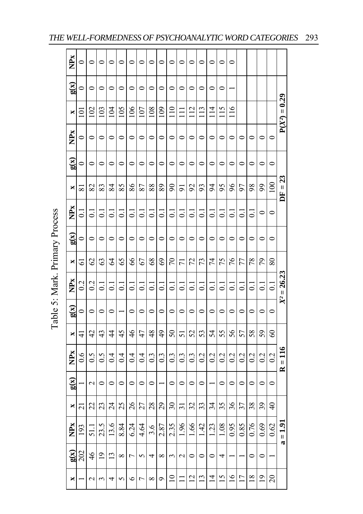| NPx                      | $\circ$            |                   | $\circ$            | 0                  |           | $\circ$            | $\circ$                  |                | $\circ$        | $\circ$                    |                   | $\circ$          | 0                  | 0                | $\circ$            | 0                  |                  |                    |                |                 |                     |
|--------------------------|--------------------|-------------------|--------------------|--------------------|-----------|--------------------|--------------------------|----------------|----------------|----------------------------|-------------------|------------------|--------------------|------------------|--------------------|--------------------|------------------|--------------------|----------------|-----------------|---------------------|
| g(x)                     | $\circ$            | 0                 | $\circ$            | 0                  | $\circ$   | $\circ$            | 0                        | 0              | $\circ$        | 0                          | 0                 | $\circ$          | 0                  | $\circ$          | $\circ$            |                    |                  |                    |                |                 |                     |
| ×                        | $\Xi$              | 102               | 103                | 104                | 105       | 106                | 107                      | 108            | 109            | $\frac{1}{10}$             |                   | 112              | 113                | $\overline{4}$   | 115                | $\frac{8}{11}$     |                  |                    |                |                 | $P(X^2) = 0.29$     |
| NP <sub>x</sub>          | $\circ$            | 0                 | $\circ$            | 0                  | $\circ$   | $\circ$            | 0                        | $\circ$        | $\circ$        | 0                          | $\circ$           | $\circ$          | 0                  | $\circ$          | 0                  | $\circ$            | 0                | 0                  | 0              | $\circ$         |                     |
| $\mathbf{g}(\mathbf{x})$ | $\circ$            | 0                 | $\bullet$          | $\circ$            | $\bullet$ | $\circ$            | $\mathbf{\circ}$         | 0              | $\circ$        | 0                          | 0                 | $\circ$          | 0                  | 0                | $\circ$            | 0                  | 0                | $\circ$            | 0              | $\circ$         |                     |
| ×                        | $\overline{8}$     | 82                | 83                 | 84                 | 85        | 86                 | 87                       | 88             | 89             | $\boldsymbol{\mathcal{S}}$ | 5                 | 92               | 93                 | 94               | 95                 | 96                 | 97               | 98                 | 99             | 100             | $DF = 23$           |
| NP <sub>x</sub>          | $\overline{\circ}$ | ದ                 | $\overline{\circ}$ | ៑                  | ಪ         | $\overline{\circ}$ | ៑                        | ៑              | $\overline{0}$ | $\overline{\circ}$         | ៑                 | $\overline{c}$   | $\overline{\circ}$ | ದ                | $\vec{0}$          | ತ                  | ದ                | $\overline{\circ}$ | $\circ$        | $\circ$         |                     |
| $\mathbf{g}(\mathbf{x})$ | $\circ$            | っ                 | $\circ$            | $\circ$            | $\circ$   | $\circ$            | $\circ$                  | $\circ$        | $\circ$        | $\circ$                    | $\circ$           | $\circ$          | $\circ$            | $\circ$          | $\circ$            | $\circ$            | $\circ$          | $\circ$            | $\circ$        | $\circ$         |                     |
| ×                        | $\overline{6}$     | 62                | 63                 | $\Im$              | 65        | 86                 | 67                       | $\frac{8}{3}$  | 69             | 70                         | Ξ                 | 72               | 73                 | 74               | 75                 | 76                 | 77               | 78                 | 79             | 80              |                     |
| <b>NPx</b>               | 0.2                | $\overline{0.2}$  | $\overline{C}$     | $\overline{\circ}$ | ದ         | $\overline{\circ}$ | $\overline{\phantom{0}}$ | ្ត             | $\overline{0}$ | $\overline{\circ}$         | ្ត                | $\overline{c}$   | $\overline{C}$     | ្ត               | $\overline{\circ}$ | $\overline{\circ}$ | ತ                | ದ                  | ತ              | $\overline{C}$  | $X^2 = 26.23$       |
| g(x)                     | $\circ$            | 0                 | $\circ$            | 0                  |           | $\circ$            | 0                        | 0              | $\circ$        | 0                          | 0                 | 0                | 0                  | 0                | 0                  | 0                  | $\circ$          | 0                  | 0              | $\circ$         |                     |
| ×                        | $\frac{1}{4}$      | 42                | 43                 | $\frac{4}{3}$      | 45        | 46                 | 47                       | 48             | 49             | 50                         | 5                 | 52               | 53                 | 54               | 55                 | 56                 | 57               | 58                 | 59             | 8               |                     |
| NP <sub>x</sub>          | $\frac{6}{3}$      | $\widetilde{0}$ . | $\widetilde{0}$ .  | 0.4                | 0.4       | 0.4                | 0.4                      | $\overline{0}$ | 0.3            | $\overline{0}$             | $0.\overline{3}$  | $0.\overline{3}$ | $\overline{0.2}$   | $\overline{0.2}$ | 0.2                | 0.2                | $\overline{0.2}$ | 0.2                | 0.2            | 0.2             | $=116$<br>$\approx$ |
| g(x)                     |                    | $\mathbf{\Omega}$ | $\circ$            | $\circ$            | 0         | $\circ$            | $\circ$                  | 0              |                | $\circ$                    | 0                 | $\circ$          | $\circ$            |                  | $\circ$            | $\circ$            | 0                | $\circ$            | $\circ$        | $\circ$         |                     |
| ×                        | ಸ                  | 22                | 23                 | $\overline{24}$    | 25        | 26                 | 27                       | 28             | 29             | 30                         | ಸ                 | 32               | 33                 | 34               | 35                 | 36                 | 37               | 38                 | 39             | $\overline{40}$ |                     |
| NP <sub>x</sub>          | 193                | 51.               | 23.5               | 13.6               | 8.84      | 6.24               | 4.64                     | 3.6            | 2.87           | 2.35                       | $-96$             | 1.66             | $\frac{4}{3}$      | $\frac{23}{2}$   | 1.08               | 0.95               | 0.85             | 0.76               | 0.69           | 0.62            | $=1.91$             |
| g(x)                     | 202                | $\frac{4}{6}$     | $\overline{0}$     | $\mathbf{r}$       | $\infty$  | h                  | 5                        | 4              | $\infty$       | $\epsilon$                 | $\mathbf{\Omega}$ | $\bullet$        | $\circ$            | $\circ$          | 4                  |                    |                  | $\bullet$          | $\bullet$      |                 | $\mathbf{\alpha}$   |
| ×                        |                    | $\mathcal{L}$     | 3                  | 4                  | 5         | $\circ$            | Γ                        | ∞              | ç              | $\Xi$                      |                   | $\overline{2}$   | $\frac{1}{3}$      | $\overline{4}$   | $\overline{15}$    | $\frac{6}{1}$      | $\overline{17}$  | $\frac{8}{18}$     | $\overline{9}$ | 20              |                     |

Table 5: Mark. Primary Process Table 5: Mark. Primary Process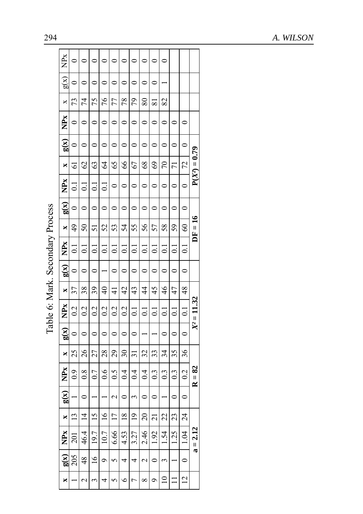| 294                              |                                      |                    |                |                    |                  |                    |                |                    |                    |                    |                |                |                 |                                            | A. WILSON |
|----------------------------------|--------------------------------------|--------------------|----------------|--------------------|------------------|--------------------|----------------|--------------------|--------------------|--------------------|----------------|----------------|-----------------|--------------------------------------------|-----------|
|                                  | À                                    | 0                  | 0              | $\circ$            | 0                | $\circ$            | $\circ$        | $\circ$            | $\circ$            | $\circ$            | $\circ$        |                |                 |                                            |           |
|                                  | $\widetilde{\mathbf{g}}(\mathbf{X})$ | $\circ$            | $\circ$        | $\circ$            | $\circ$          | $\circ$            | $\circ$        | $\circ$            | $\circ$            | $\circ$            |                |                |                 |                                            |           |
|                                  | ×                                    | 73                 | 74             | 75                 | 94               | 77                 | 78             | 79                 | $\rm 80$           | $\overline{\bf 8}$ | 82             |                |                 |                                            |           |
|                                  | Ř                                    | $\circ$            | $\circ$        | $\circ$            | $\circ$          | $\circ$            | $\circ$        | $\circ$            | $\circ$            | $\circ$            | $\circ$        | $\circ$        | $\circ$         |                                            |           |
|                                  | $\widetilde{\mathbf{g}}(\mathbf{x})$ | $\circ$            | $\circ$        | $\circ$            | $\circ$          | $\circ$            | $\circ$        | $\circ$            | $\circ$            | $\circ$            | $\circ$        | $\circ$        | $\circ$         |                                            |           |
|                                  | ×                                    | 5                  | $\mathcal{O}$  | 63                 | $\mathcal{L}$    | 65                 | $\delta$       | 67                 | $68\,$             | 69                 | $\sqrt{2}$     | $\overline{r}$ | 72              | $= 0.79$                                   |           |
|                                  | NPx                                  | $\bar{\circ}$      | $\overline{c}$ | $\overline{\circ}$ | $\overline{0}$ . | $\circ$            | $\circ$        | $\circ$            | $\circ$            | $\circ$            | $\circ$        | $\circ$        | $\circ$         | $P(X^2)$                                   |           |
|                                  | g(x)                                 | $\circ$            | $\circ$        | $\circ$            | $\circ$          | $\circ$            | $\circ$        | $\circ$            | $\circ$            | $\circ$            | $\circ$        | $\circ$        | $\circ$         |                                            |           |
|                                  | ×                                    | $\overline{6}$     | $50\,$         | 51                 | 52               | 53                 | 54             | 55                 | 56                 | 57                 | 58             | 59             | $\infty$        | $\frac{6}{1}$<br>$\boldsymbol{\mathsf{H}}$ |           |
|                                  | NP <sub>x</sub>                      | $\overline{\circ}$ | $\overline{c}$ | $\overline{\circ}$ | $\overline{c}$   | $\overline{c}$     | $\overline{c}$ | $\bar{\circ}$      | $\overline{\circ}$ | $\overline{\circ}$ | $\overline{c}$ | ತ              | $\overline{C}$  | Ĕ                                          |           |
| Table 6: Mark. Secondary Process | g(x)                                 | $\circ$            | $\circ$        | $\circ$            |                  | $\circ$            | $\circ$        | $\circ$            | $\circ$            | $\circ$            | $\circ$        | $\circ$        | $\circ$         |                                            |           |
|                                  | ×                                    | 37                 | 38             | 39                 | $\overline{4}$   | $\frac{4}{1}$      | 42             | 43                 | 4                  | 45                 | 46             | 47             | 48              |                                            |           |
|                                  | <b>NPx</b>                           | 0.2                | 0.2            | 0.2                | 0.2              | 0.2                | 0.2            | $\overline{\circ}$ | $\overline{\circ}$ | $\overline{\circ}$ | ៊              | ತ              | $\overline{0}$  | $= 11.32$                                  |           |
|                                  |                                      |                    |                |                    |                  |                    |                |                    |                    |                    |                |                |                 | $\mathbb{X}^2$                             |           |
|                                  | g(x)                                 | $\circ$            | $\circ$        | $\circ$            | $\circ$          | $\circ$            | $\circ$        | $\circ$            |                    |                    | $\circ$        | $\circ$        | $\circ$         |                                            |           |
|                                  | ×                                    | 25                 | 26             | 27                 | $28$             | 29                 | $30\,$         | $\overline{3}$     | 32                 | 33                 | 34             | 35             | 36              |                                            |           |
|                                  | <b>NP<sub>x</sub></b>                | 0.9                | 0.8            | 0.7                | 0.6              | $\widetilde{S}$ :0 | 0.4            | 0.4                | 0.4                | 0.3                | 0.3            | 0.3            | 0.2             | $= 82$<br>$\approx$                        |           |
|                                  | $\mathbf{g}(\mathbf{x})$             |                    | 0              |                    |                  | $\mathbf 2$        | $\circ$        | 3                  | $\circ$            | $\circ$            |                | $\circ$        | $\circ$         |                                            |           |
|                                  | $\blacksquare$                       | $\overline{13}$    | $\overline{4}$ | $\overline{5}$     | $\overline{16}$  | $\overline{17}$    | $18\,$         | $\overline{0}$     | $\overline{c}$     | $\overline{21}$    | 22             | 23             | $\overline{24}$ |                                            |           |
|                                  | <b>NPx</b>                           | $\overline{5}$     | 46.4           | 19.7               | 10.7             | 6.66               | 4.53           | 3.27               | 2.46               | 1.92               | 1.54           | <b>125</b>     | 1.04            | $a = 2.12$                                 |           |
|                                  | $\mathbf{g}(\mathbf{x})$             | 205                | 48             | $\overline{9}$     | $\mathcal{O}$    | 5                  | 4              | 4                  | $\mathbf 2$        | $\circ$            | 3              |                | $\circ$         |                                            |           |
|                                  | ×                                    |                    | 2              | 3                  | 4                | 5                  | $\circ$        | $\overline{ }$     | $\infty$           | Ó                  | $\supseteq$    |                | $\overline{2}$  |                                            |           |
|                                  |                                      |                    |                |                    |                  |                    |                |                    |                    |                    |                |                |                 |                                            |           |

| č                  |
|--------------------|
| $\cdots$<br>١<br>τ |
| i                  |
| ĺ<br>ξ             |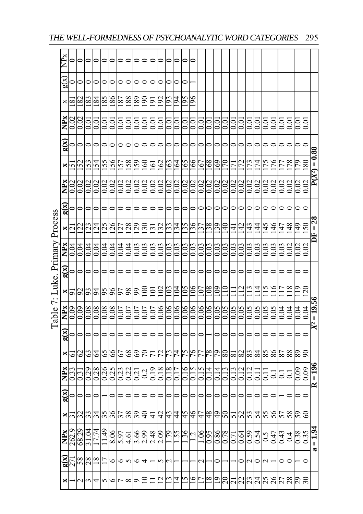|                              |                          |                       |                 |              |                     |                |              |                |                  |                 | Table 7: Luke. Primary Process |                 |      |                     |                 |                          |                      |                |         |                 |
|------------------------------|--------------------------|-----------------------|-----------------|--------------|---------------------|----------------|--------------|----------------|------------------|-----------------|--------------------------------|-----------------|------|---------------------|-----------------|--------------------------|----------------------|----------------|---------|-----------------|
| ×                            | $\mathbf{g}(\mathbf{x})$ | NP <sub>x</sub>       | ×               | g(x)         | NP <sub>x</sub>     | ×              | g(x)         | $\sum_{x}$     | $\frac{1}{2}$    | g(x)            | $\sum_{\mathbf{X}}$            | ×               | g(x) | NP <sub>X</sub>     | ×               | $\mathbf{g}(\mathbf{x})$ | NP <sub>x</sub>      | ×              | g(x)    | NP <sub>x</sub> |
|                              |                          | 262.9                 | ಸ               |              | 0.33                | 5              |              | 0.09           |                  |                 | 0.04                           | $\overline{2}$  |      | 0.02                | 51              | $\mathbf{C}$             | 0.02                 | ≊              | $\circ$ |                 |
|                              | $rac{88}{8}$             | 68.29                 | $\frac{22}{33}$ |              | $\frac{51}{100}$    | $\frac{62}{3}$ |              | $rac{80}{600}$ | $\frac{8}{3}$    | $\circ$ $\circ$ | 0.04                           | $\frac{22}{23}$ |      | $\frac{0.02}{0.02}$ | $\frac{52}{53}$ |                          | 0.02                 | 82             |         |                 |
| $\sim$                       |                          | 1.04                  |                 |              |                     |                |              |                |                  |                 | $\overline{0.04}$              |                 |      |                     |                 |                          | 0.01                 | 183            |         |                 |
|                              | $\frac{8}{18}$           | 7.74                  | 34              |              |                     | $\overline{6}$ |              | 80.0           | 76               | $\circ$         | 0.04                           | $\overline{24}$ |      | 0.02                | 154             | 0                        | $\overline{0}$       | 184            | $\circ$ |                 |
| $4\sim$                      |                          | $\frac{49}{5}$        | 35              |              | 0.26                | 65             |              | 0.08           | 56               | $\circ$         | 0.04                           | 25              |      | 0.02                | 55              | 0                        | Ξ.                   | 185            | $\circ$ |                 |
|                              | O                        | 8.06                  | $rac{26}{37}$   |              | $\frac{0.25}{0.23}$ | $rac{6}{99}$   |              | 80.0           | $\frac{6}{96}$   | $\circ$         | 0.04                           | $\frac{26}{27}$ |      | 0.02                | 951             |                          | $_{\rm 0.01}$        | 981            |         |                 |
|                              | ٥                        | 5.97                  |                 |              |                     |                |              | 0.07           |                  |                 | 0.04                           |                 |      |                     | 57              |                          | $\rm \ddot{\rm 0}$   | 187            |         |                 |
| $\infty$                     |                          | 4.61                  | 38              |              | 0.22                | $\frac{8}{3}$  |              | 0.07           | 98               | 0               | 0.04                           | 128             |      | 0.02                | 158             | 0                        | $\rm \ddot{\rm 0}$   | 188            |         |                 |
|                              | $\circ$                  | 3.66                  | 39              |              | $\overline{0.2}$    | 69             | $\circ$      | 0.07           | 99               | $\circ$         | 0.03                           | $\overline{29}$ |      | 0.02                | 159             | $\circ$                  | 0.01                 | 189            | $\circ$ |                 |
|                              | 4                        | 2.99                  | $\frac{1}{2}$   |              | 0.2                 | 07             |              | 0.07           | $\Xi$            | $\circ$         | 0.03                           | $\overline{05}$ |      | 0.02                | $\mathbb{S}$    | $\circ$                  | $\frac{1}{2}$        | $\frac{8}{1}$  |         |                 |
|                              |                          | 2.48                  | 4               |              |                     |                |              | 0.07           | Ξ                |                 | 0.03                           | Ι£Ι             |      | 0.02                | $\Xi$           | 0                        | $\rm \ddot{\rm 0}$   | $\frac{1}{2}$  |         |                 |
|                              |                          | 2.09                  | 42              |              |                     | 72             |              | 0.06           | $\Xi$            | 0               | 0.03                           | $\overline{32}$ |      | 0.02                | $^{162}$        | 0                        | $\frac{0}{2}$        | $\overline{5}$ |         |                 |
|                              |                          | 79                    | 43              |              |                     | 73             | ∍            | 0.06           | $^{2}$           |                 | 0.03                           | 33              |      | $0.02\,$            | $^{63}$         | 0                        | $\frac{1}{2}$        | š              |         |                 |
| ⊻                            |                          | .S.                   | $\frac{4}{4}$   |              |                     | 74             |              | 0.06           | $\overline{6}$   | 0               | 0.03                           | $\frac{34}{3}$  |      | 0.02                | 19              | 0                        | $\rm _{0.0}$         | Pol            |         |                 |
|                              |                          | 36                    | 45              |              |                     | 57             |              | 0.06           | $\frac{50}{5}$   |                 | 0.03                           | 35              |      | 0.02                | .65             |                          | $\rm \ddot{\rm 0}$   | <b>95</b>      |         |                 |
| ≗                            |                          | ų                     | $\frac{4}{6}$   |              |                     | 76             |              | 0.06           | 106              | 0               | 0.03                           | 36              |      | 0.02                | 166             | 0                        | $\rm \ddot{\rm 0}$   | $^{96}$        |         |                 |
|                              |                          | $\widetilde{90}$      | 47              |              |                     |                |              | 0.06           | $\overline{107}$ | $\circ$         | 0.03                           | 137             |      | 0.02                | 167             | 0                        | $\rm \ddot{\rm 0}$   |                |         |                 |
| $\approx$                    |                          | 6.0                   | $\frac{8}{3}$   |              |                     | 78             |              | 0.06           | $\frac{80}{2}$   | $\circ$         | 0.03                           | 138             |      | 0.02                | 168             | 0                        | $_{\odot}$           |                |         |                 |
| $\overline{0}$               |                          | 98.0                  | $^{6}$          |              |                     | 54             |              | 50.0           | 601              |                 | 0.03                           | 6£1             |      |                     | 69              |                          | $\overline{0.0}$     |                |         |                 |
| $0\overline{c}$              |                          | 0.78                  | 05              |              |                     | $80\,$         |              | 0.05           |                  | 0               | 0.03                           | $\frac{1}{4}$   |      |                     |                 |                          | $\rm \ddot{\rm 0}$   |                |         |                 |
| ΙŹ                           |                          |                       | 5               |              |                     | $\approx$      |              | 0.05           |                  | 0               | 0.03                           | ₹               |      | 0.02                |                 |                          | $_{\rm 0.01}$        |                |         |                 |
|                              | $\circ$                  | 0.64                  | 52              |              |                     | 82             |              | 0.05           |                  | 0               | 0.03                           | 요<br>           |      | 0.02                |                 | ∊                        | $\overline{0.01}$    |                |         |                 |
| <u>ผู้ผู้ผู้ผู้ผู้หูนั้น</u> |                          | $\frac{0.59}{0.54}$   | $\frac{53}{4}$  |              |                     | 83             |              | 0.05           |                  |                 | 0.03                           | $\frac{43}{5}$  |      | 0.02                |                 |                          | $\rm \ddot{\rm 0}$   |                |         |                 |
|                              |                          |                       |                 |              |                     | 84             |              | 0.05           |                  |                 | $\rm{6.03}$                    | $\overline{4}$  |      |                     | 74              |                          | $\rm \ddot{\rm 0}$   |                |         |                 |
|                              | N                        | 0.5                   | 55              |              |                     | 85             |              | 0.05           |                  | 0               | 0.03                           | 145             |      | 0.02                | 75              | 0                        | $\rm\thinspace 0.01$ |                |         |                 |
|                              |                          | 0.47                  | 95              |              | $\mathbf{I}$        | 86             | 0            | 0.05           | $\mathbf{e}$     | 0               | 0.03                           | 146             |      | 0.02                | 76              | $\mathsf{C}$             | $\rm{C_{O}}$         |                |         |                 |
|                              |                          | 0.43                  | 57              |              |                     | 87             |              | 0.04           |                  |                 | 0.03                           | 147             |      |                     |                 |                          | $\rm \ddot{\rm 0}$   |                |         |                 |
|                              |                          | $\overline{0}$        | 58              |              |                     | 88             |              | 0.04           |                  |                 |                                | $\frac{8}{4}$   |      |                     |                 |                          | $_{\odot}^{\circ}$   |                |         |                 |
| 67                           |                          | 0.38                  | 59              |              | 0.09                | 68             | 0            | 0.04           | $\mathbf{r}$     |                 | 0.02                           | $\frac{49}{5}$  |      |                     | 79              | 0                        | $\overline{0}$       |                |         |                 |
| $30\,$                       |                          | 0.35                  | $\degree$       | $\mathbf{C}$ | 0.09                | 90             | $\mathbf{C}$ | 0.04           | 120              | $\bullet$       | 0.02                           | $^{150}$        | ⋍    | 0.02                | 180             | $\circ$                  | 5<br>0.01            |                |         |                 |
|                              |                          | $= 1.94$<br>$\approx$ |                 |              | $R = 196$           |                |              | $X^2 = 19.56$  |                  |                 |                                | $DF = 28$       |      |                     | $P(X^2) = 0.88$ |                          |                      |                |         |                 |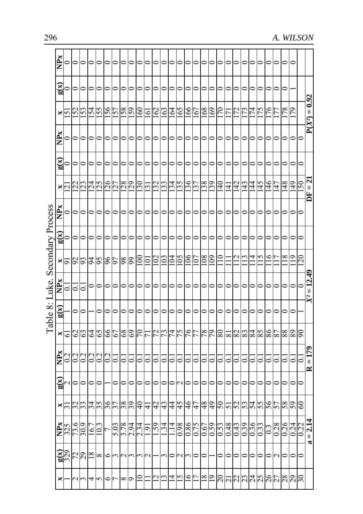| Secondary Process<br>Table 8: Luke. | Ř<br>$\mathbf{g}(\mathbf{x})$<br>×<br>NP <sub>x</sub><br>g(x)<br>×<br><b>NPx</b><br>g(x)<br>$\frac{16}{5}$<br>NP <sub>X</sub> | 'n<br>$\overline{q}$<br>$\circ$<br>0<br>្ត | 52<br>22<br>$\circ$<br>0<br>$\frac{8}{25}$<br>$\overline{0}$ . | 53<br>23 | 54<br>0<br>24<br>$\overline{16}$<br>0 | 55<br>⊂<br>25<br>56 | 99<br>$\frac{66}{96}$ | 57<br>0<br>25   | 158<br>0<br>$\frac{28}{29}$<br>0<br>98 | 69<br>0<br>0<br>99 | 60<br>≘<br>$\frac{50}{31}$<br>⊂<br>00 | 161<br>≘<br>$\circ$ | 162<br>≘<br>32<br>S | 163<br>⊂<br>33<br>0<br>$\mathbf{C}$ | 164<br>⊂<br>34<br>⊂<br>$\mathfrak{q}$<br>⊂ | 591<br>55<br>SO | 166<br>≏<br>36<br>0<br>$\frac{8}{3}$ | 167<br>≘<br>$\overline{37}$<br>0<br>S | 891<br>⊂<br>38<br>⊂<br>$_{\rm 80}$ | 691<br>65<br>80 | $\approx$<br>₹, | Ļ,<br>≘<br>₹        | 72<br>⊂<br>42 | 73<br>4                        | 74<br>4 | 75<br>≘<br>$\frac{45}{5}$ | 76<br>0<br>$\frac{4}{6}$ | 47 | ∊<br>78<br>0<br>0<br>$\frac{48}{5}$<br>$\frac{8}{18}$ | 79<br>$\circ$<br>0<br>$\frac{9}{4}$<br>0<br>0<br>$\frac{1}{2}$<br>0<br>0 | $\overline{\phantom{a}}$<br>$\mathbf{C}$<br>0<br>0<br>120<br>$\subset$ |
|-------------------------------------|-------------------------------------------------------------------------------------------------------------------------------|--------------------------------------------|----------------------------------------------------------------|----------|---------------------------------------|---------------------|-----------------------|-----------------|----------------------------------------|--------------------|---------------------------------------|---------------------|---------------------|-------------------------------------|--------------------------------------------|-----------------|--------------------------------------|---------------------------------------|------------------------------------|-----------------|-----------------|---------------------|---------------|--------------------------------|---------|---------------------------|--------------------------|----|-------------------------------------------------------|--------------------------------------------------------------------------|------------------------------------------------------------------------|
|                                     |                                                                                                                               |                                            |                                                                |          |                                       |                     |                       |                 |                                        |                    |                                       |                     |                     |                                     |                                            |                 |                                      |                                       |                                    |                 |                 |                     |               |                                |         |                           |                          |    |                                                       |                                                                          | 50                                                                     |
|                                     |                                                                                                                               |                                            |                                                                |          |                                       |                     |                       |                 |                                        |                    |                                       |                     |                     |                                     |                                            |                 |                                      |                                       |                                    |                 |                 |                     |               |                                |         |                           |                          |    |                                                       |                                                                          |                                                                        |
|                                     |                                                                                                                               |                                            |                                                                |          |                                       |                     |                       |                 |                                        |                    |                                       |                     |                     |                                     |                                            |                 |                                      |                                       |                                    |                 |                 |                     |               |                                |         |                           |                          |    |                                                       |                                                                          |                                                                        |
|                                     |                                                                                                                               |                                            |                                                                |          |                                       |                     |                       |                 |                                        |                    |                                       |                     |                     |                                     |                                            |                 |                                      |                                       |                                    |                 |                 |                     |               |                                |         |                           |                          |    |                                                       |                                                                          |                                                                        |
|                                     |                                                                                                                               |                                            |                                                                |          |                                       |                     |                       |                 |                                        |                    |                                       |                     |                     |                                     |                                            |                 |                                      |                                       |                                    |                 |                 |                     |               |                                |         |                           |                          |    |                                                       |                                                                          |                                                                        |
|                                     | g(x)                                                                                                                          |                                            |                                                                |          |                                       |                     |                       |                 |                                        |                    |                                       |                     |                     |                                     |                                            |                 |                                      |                                       |                                    |                 |                 |                     |               |                                |         |                           |                          |    |                                                       |                                                                          |                                                                        |
|                                     | ×                                                                                                                             | 5                                          | $\mathcal{O}$                                                  | S        | 2                                     | 65                  |                       | $\frac{19}{99}$ | 89                                     | $^{69}$            | $\sqrt{7}$                            |                     | 72                  | 73                                  | $\overline{7}$                             | 57              | 76                                   | 77                                    | 78                                 | 79              | 80              | $\overline{\infty}$ | 28            | $rac{83}{4}$                   |         | 58                        | 98                       | 78 | 88                                                    | 89                                                                       | $\infty$                                                               |
|                                     | È                                                                                                                             | $\overline{0}$                             | 0.2                                                            | 0.2      | 0.2                                   | $\Omega$            | 0.2                   | $\dot{\circ}$   | ್ರ                                     | ತ                  | ö                                     | ö                   | $\mathbf{c}$        | ៑                                   | ៑                                          | ö               | $\dot{\circ}$                        | Õ                                     | Õ                                  | ö               |                 | $\circ$             | d             |                                |         | $\mathbf{c}$              | $\dot{\circ}$            | ö  | S                                                     | ್ರ                                                                       | ತ                                                                      |
|                                     | g(x)                                                                                                                          |                                            |                                                                |          |                                       |                     |                       |                 |                                        |                    |                                       |                     |                     |                                     |                                            |                 |                                      |                                       |                                    |                 |                 |                     |               |                                |         |                           |                          |    |                                                       | 0                                                                        | 0                                                                      |
|                                     | ×                                                                                                                             | $\sim$                                     | 32                                                             |          | 34                                    | 35                  | $rac{56}{25}$         |                 | 38                                     | 39                 | $\frac{4}{\sqrt{2}}$                  | ₹                   | 42                  | 43                                  | 4                                          | 45              | 46                                   | 47                                    | 8+                                 | $\overline{6}$  | $\mathcal{S}$   | 5                   | 52            | 53                             | 75      | 55                        | 95                       | 57 | 89                                                    | 59                                                                       | $^{\circ}$                                                             |
|                                     | <b>NPx</b>                                                                                                                    |                                            | $\frac{325}{73.6}$                                             | 6.05     | 16.7                                  | $\frac{3}{2}$       |                       | 5.03            | 3.78                                   | 2.94               | $\frac{2.34}{1.91}$                   |                     | 65                  | $\frac{34}{3}$                      | $\vec{a}$                                  | 86.0            | 98.0                                 | 0.75                                  | 0.67                               | 0.59            | 6.50            | 0.48                | 0.43          | 0.39                           | 950     | 0.33                      | $\overline{0}$           |    | $\frac{0.28}{0.26}$                                   | 0.24                                                                     | 0.22                                                                   |
|                                     | $\mathbf{g}(\mathbf{x})$                                                                                                      |                                            | $\frac{329}{72}$                                               |          | $\frac{8}{18}$                        | $^{\circ}$          |                       |                 |                                        |                    |                                       |                     |                     |                                     |                                            |                 |                                      | 0                                     | ⊂                                  |                 |                 |                     |               |                                |         |                           |                          | C  | 0                                                     | 0                                                                        |                                                                        |
|                                     | ×                                                                                                                             |                                            | $\sim$                                                         |          | 4                                     |                     | ٥Ι٢                   |                 | $^{\circ}$                             | P                  |                                       |                     |                     |                                     | ⋣                                          | $\overline{5}$  | $\tilde{=}$                          |                                       |                                    | $\frac{61}{8}$  |                 |                     |               | <u> ล ส ส ส ส ส ส ส ส ล</u>  ล |         |                           |                          |    |                                                       |                                                                          |                                                                        |

296 *A. WILSON*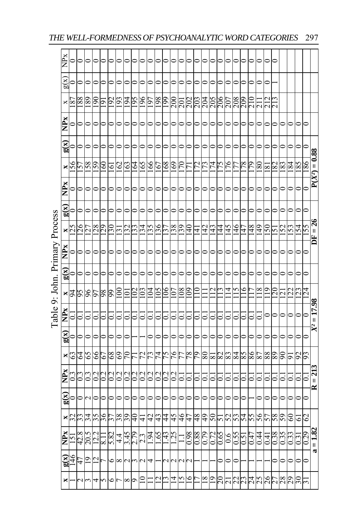| χ                          |                                           |                                                                                  |                                                                                                                                                                |                          |                |                                            |      |               |                                                                                                      |                |     |                                                                |                                      |                |                                                                                              |                                  |               |                             |                                           |                |                               |                            |         |                      |                       |           |                                      |                                                                           |                   |                                       |                                              |
|----------------------------|-------------------------------------------|----------------------------------------------------------------------------------|----------------------------------------------------------------------------------------------------------------------------------------------------------------|--------------------------|----------------|--------------------------------------------|------|---------------|------------------------------------------------------------------------------------------------------|----------------|-----|----------------------------------------------------------------|--------------------------------------|----------------|----------------------------------------------------------------------------------------------|----------------------------------|---------------|-----------------------------|-------------------------------------------|----------------|-------------------------------|----------------------------|---------|----------------------|-----------------------|-----------|--------------------------------------|---------------------------------------------------------------------------|-------------------|---------------------------------------|----------------------------------------------|
| g(x)                       |                                           |                                                                                  |                                                                                                                                                                |                          |                |                                            |      |               |                                                                                                      |                |     |                                                                |                                      |                |                                                                                              |                                  |               |                             |                                           |                |                               |                            |         |                      |                       |           |                                      |                                                                           |                   |                                       |                                              |
| ×                          | 78                                        |                                                                                  | ន್ಷ                                                                                                                                                            | l 6 l                    | 192            | Ş                                          | 94   |               | $\frac{6}{5}$                                                                                        | 161            |     |                                                                |                                      |                |                                                                                              | 203                              |               |                             |                                           |                |                               | 209                        |         |                      |                       |           |                                      |                                                                           |                   |                                       |                                              |
| NP <sub>x</sub>            |                                           |                                                                                  |                                                                                                                                                                |                          |                |                                            |      |               |                                                                                                      |                |     |                                                                |                                      |                |                                                                                              |                                  |               |                             |                                           |                |                               |                            |         |                      |                       |           |                                      |                                                                           |                   |                                       |                                              |
| $\mathbf{g}(\mathbf{x})$   |                                           |                                                                                  |                                                                                                                                                                |                          |                |                                            |      |               |                                                                                                      |                |     |                                                                |                                      |                |                                                                                              |                                  |               |                             |                                           |                |                               |                            |         |                      |                       |           |                                      |                                                                           |                   |                                       |                                              |
| ×                          | 95                                        |                                                                                  | $\mathcal{S}$                                                                                                                                                  | $\mathcal{S}$            | $\Xi$          | $\mathcal{S}$                              | 63   |               | 65                                                                                                   |                | 167 | 891                                                            |                                      |                |                                                                                              |                                  |               |                             |                                           |                |                               | $\frac{8}{2}$              | 79      | $_{80}$              | $\infty$              | $\approx$ | 83                                   | 184                                                                       | 85                |                                       | $P(X^2) = 0.88$                              |
|                            |                                           |                                                                                  |                                                                                                                                                                |                          |                |                                            |      |               |                                                                                                      | 0              |     |                                                                |                                      |                |                                                                                              |                                  |               |                             |                                           |                |                               |                            |         |                      |                       |           |                                      |                                                                           | 0                 |                                       |                                              |
|                            |                                           |                                                                                  |                                                                                                                                                                |                          |                |                                            |      |               |                                                                                                      |                |     |                                                                |                                      |                |                                                                                              |                                  |               |                             |                                           |                |                               |                            |         |                      |                       |           |                                      |                                                                           |                   |                                       |                                              |
|                            |                                           |                                                                                  | $^{28}$                                                                                                                                                        | 29                       | $\frac{30}{2}$ | $\epsilon$                                 |      |               | ઝ                                                                                                    |                |     | 137                                                            |                                      |                | $\frac{1}{4}$                                                                                | $\frac{1}{4}$                    | $\frac{4}{2}$ | 4                           | $\overline{4}$                            | $\frac{45}{5}$ | 146                           | $\frac{1}{4}$              | 148     |                      |                       | ŋ         | <b>S2</b>                            | 53                                                                        |                   |                                       | $DF = 26$                                    |
|                            |                                           |                                                                                  |                                                                                                                                                                |                          |                |                                            |      |               |                                                                                                      | 0              | 0   |                                                                |                                      |                |                                                                                              |                                  |               |                             |                                           |                |                               |                            |         |                      |                       |           |                                      | 0                                                                         | 0                 |                                       |                                              |
|                            |                                           |                                                                                  |                                                                                                                                                                |                          |                |                                            |      |               |                                                                                                      |                |     |                                                                |                                      |                |                                                                                              |                                  |               |                             |                                           |                |                               |                            |         |                      |                       |           |                                      |                                                                           |                   |                                       |                                              |
|                            |                                           |                                                                                  |                                                                                                                                                                |                          |                |                                            |      |               |                                                                                                      |                |     |                                                                |                                      |                |                                                                                              |                                  |               |                             |                                           | 4              |                               | ٥                          |         |                      |                       |           |                                      |                                                                           |                   |                                       |                                              |
|                            |                                           |                                                                                  |                                                                                                                                                                |                          |                |                                            |      |               |                                                                                                      |                |     |                                                                |                                      |                |                                                                                              |                                  |               |                             |                                           |                |                               |                            |         |                      |                       |           |                                      |                                                                           |                   |                                       |                                              |
|                            |                                           |                                                                                  |                                                                                                                                                                |                          |                |                                            |      |               |                                                                                                      | 0              | S   |                                                                |                                      |                |                                                                                              |                                  |               |                             |                                           |                |                               | $\Rightarrow$              |         |                      |                       |           |                                      | 0                                                                         | 0                 |                                       | $= 17.98$<br>$\chi^2$                        |
|                            |                                           |                                                                                  |                                                                                                                                                                | っ                        | 0              |                                            |      |               |                                                                                                      | 0              | 0   | 0                                                              | 0                                    |                | ⊃                                                                                            | っ                                |               |                             |                                           |                | ⊃                             | 0                          |         |                      |                       |           |                                      | 0                                                                         | 0                 |                                       |                                              |
| ×                          | 63                                        |                                                                                  | 89                                                                                                                                                             | 67                       | 89             | $\mathcal{S}^3$                            |      |               | 72                                                                                                   |                |     |                                                                |                                      |                |                                                                                              |                                  | $_{80}$       |                             |                                           |                |                               | 58                         |         |                      |                       |           |                                      | 5                                                                         |                   |                                       |                                              |
| NPx                        |                                           |                                                                                  |                                                                                                                                                                |                          | $\overline{0}$ |                                            |      |               |                                                                                                      |                | 0.2 | 0.2                                                            | 0.2                                  |                |                                                                                              |                                  |               |                             |                                           |                |                               |                            |         |                      |                       |           |                                      |                                                                           |                   |                                       | $= 213$                                      |
|                            |                                           |                                                                                  |                                                                                                                                                                |                          |                |                                            |      |               |                                                                                                      |                |     |                                                                |                                      |                |                                                                                              |                                  |               |                             |                                           |                |                               |                            |         |                      |                       |           |                                      |                                                                           |                   |                                       | $\approx$                                    |
| ×                          | 32                                        |                                                                                  |                                                                                                                                                                |                          |                | 38                                         |      | $\frac{1}{2}$ | 4                                                                                                    | $\overline{c}$ | 43  | $\overline{4}$                                                 |                                      |                |                                                                                              | $^{48}$                          |               |                             |                                           |                |                               |                            |         |                      |                       |           |                                      | 8                                                                         | $\circ$           |                                       |                                              |
| $\mathbf{NP}_{\mathbf{X}}$ | $\overline{2}$                            |                                                                                  | $\overline{2.2}$                                                                                                                                               | $\overline{\phantom{0}}$ |                | $\frac{4}{3}$                              | 3.45 |               | 23                                                                                                   |                |     |                                                                |                                      |                | 86.0                                                                                         |                                  | 64:0          |                             | 59.0                                      | $\frac{6}{1}$  |                               | $\overline{5}$             | -<br>20 |                      | $\frac{4}{3}$         | 0.38      |                                      | 0.33                                                                      | $\overline{0.31}$ |                                       | $a = 1.82$                                   |
|                            | $\frac{46}{5}$                            |                                                                                  | ų                                                                                                                                                              |                          | ∘              | ∞                                          |      |               |                                                                                                      |                |     |                                                                |                                      |                |                                                                                              |                                  |               |                             |                                           |                |                               |                            |         |                      |                       |           |                                      |                                                                           |                   |                                       |                                              |
| ×                          |                                           |                                                                                  | 4                                                                                                                                                              |                          | $\circ$        |                                            |      |               |                                                                                                      |                | ų   | $\mathbf{u}$                                                   | $\overline{4}$                       | $\overline{5}$ | $\overline{6}$                                                                               |                                  |               |                             |                                           |                |                               |                            |         |                      |                       |           |                                      |                                                                           |                   |                                       |                                              |
|                            | NPx<br>MP <sub>X</sub><br>NP <sub>x</sub> | g(x)<br>$\frac{\mathbf{x}}{25}$<br>g(x)<br>$\frac{1}{2}$<br>g(x)<br>g(x)<br>g(x) | $\frac{68}{88}$<br>$\frac{85}{15}$<br>$\frac{26}{27}$<br>$\frac{96}{56}$<br>$\frac{59}{2}$<br>$3\frac{3}{4}$<br>$rac{42.8}{20.5}$<br>$\frac{47}{19}$<br>$\sim$ |                          |                | $\frac{66}{86}$<br>$\frac{56}{37}$<br>5.82 | ຂ    | 39            | $\overline{5}$<br>$\mathfrak{D}$<br>$\frac{32}{3}$<br>20<br>$\zeta$ <sup>0</sup><br>2.79<br>$\infty$ |                | Z   | 801<br>991<br>$\frac{135}{136}$<br>$\delta$<br>74<br>74<br>0.2 | 661<br>$^{\circ}$<br>57<br>$59^{11}$ | 5              | $\frac{0}{69}$<br>$\frac{85}{39}$<br>80<br>$\frac{2}{9}$<br>$\frac{91}{5}$<br>$\frac{43}{5}$ | $\frac{20}{20}$<br>3<br>78<br>47 | 57            | 204<br>$\frac{6}{7}$<br>88( | 205<br>18<br>50<br>0.72<br>$\frac{61}{8}$ |                | 206<br>207<br>$\frac{28}{25}$ | 208<br>84<br>ದ ದ ದ<br>0.55 |         | 86<br>$\frac{25}{5}$ | 67<br>78<br>99<br>750 | 05<br>88  | $\mathbb{S}$<br>68<br>8 <sup>°</sup> | $\mathbf{\tilde{c}}$<br>$\infty$<br>59<br>$\mathfrak{S} \in \mathfrak{O}$ | 22                | 151<br>23<br>26<br><b>Adaaaaaaaaa</b> | 98<br>55<br>124<br>93<br>ζ9<br>0.29<br>$\Xi$ |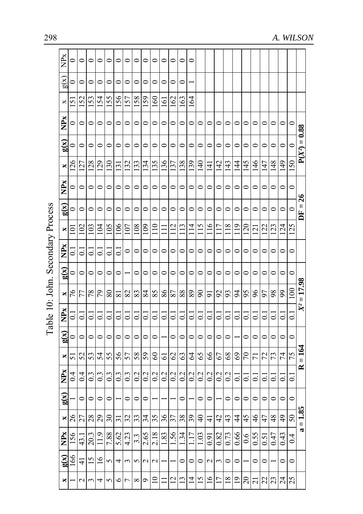| Ř                        | 0                        | $\circ$        | $\circ$          | 0             | $\circ$                  | 0                  | 0                | 0                | ⊂                 | 0              | 0                        | $\circ$            | 0               | $\circ$            |                            |                 |                |                |                |                |                 |                       |                |                 |                    |                 |
|--------------------------|--------------------------|----------------|------------------|---------------|--------------------------|--------------------|------------------|------------------|-------------------|----------------|--------------------------|--------------------|-----------------|--------------------|----------------------------|-----------------|----------------|----------------|----------------|----------------|-----------------|-----------------------|----------------|-----------------|--------------------|-----------------|
| g(x)                     | $\Rightarrow$            | $\circ$        | 0                | $\mathsf{C}$  | $\mathbf{C}$             | 0                  | 0                | $\mathbf{\circ}$ | 0                 | 0              | $\mathbf{\mathsf{C}}$    | $\mathbf{C}$       | $\circ$         |                    |                            |                 |                |                |                |                |                 |                       |                |                 |                    |                 |
| ×                        | 5                        | 152            | 53               | 154           | 155                      | 156                | 157              | 158              | 159               | $\frac{60}{1}$ | $\overline{5}$           | 162                | 163             | 164                |                            |                 |                |                |                |                |                 |                       |                |                 |                    |                 |
| <b>NPx</b>               | 0                        | $\circ$        | $\circ$          | $\circ$       | 0                        | 0                  | 0                | 0                | $\circ$           | 0              | $\circ$                  | 0                  | $\circ$         | 0                  | 0                          | $\circ$         | 0              | $\subset$      | 0              | ⊂              | ⊂               | $\mathbf{\mathsf{C}}$ | 0              | 0               | $\mathbf{C}$       |                 |
| $\mathbf{g}(\mathbf{x})$ | 0                        | $\circ$        | $\circ$          | $\circ$       | 0                        | 0                  | $\circ$          | $\circ$          | $\circ$           | 0              | $\circ$                  | 0                  | 0               | $\circ$            | $\circ$                    | $\circ$         | $\circ$        | $\circ$        | $\circ$        | $\circ$        | 0               | $\circ$               | $\circ$        | $\circ$         | $\subset$          | $P(X^2) = 0.88$ |
| ×                        | 126                      | 127            | 128              | 129           | 130                      | $\overline{131}$   | 132              | 133              | 134               | 135            | 136                      | 137                | 138             | 139                | $\frac{1}{4}$              | $\Xi$           | 142            | 143            | $\frac{4}{4}$  | 145            | $\frac{46}{5}$  | 147                   | $\frac{48}{5}$ | $\frac{149}{5}$ | 150                |                 |
| NP <sub>x</sub>          | ∍                        | $\circ$        | 0                | $\circ$       | 0                        | 0                  | 0                | $\circ$          | $\circ$           | 0              | $\circ$                  | 0                  | 0               | $\circ$            | $\circ$                    | $\circ$         | $\circ$        | $\circ$        | $\circ$        | 0              | 0               | $\circ$               | $\circ$        | 0               | $\circ$            |                 |
| g(x)                     | 0                        | $\circ$        | $\circ$          | 0             | 0                        | $\circ$            | 0                | 0                | $\circ$           | $\circ$        | $\circ$                  | 0                  | $\circ$         | $\circ$            | 0                          | 0               | $\circ$        | 0              | 0              | $\circ$        | 0               | $\circ$               | 0              | 0               | $\mathbf{\circ}$   | $DF = 26$       |
| ×                        | Ξ                        | 102            | 103              | 104           | 105                      | 106                | 107              | 108              | $^{60}$           | $\frac{1}{10}$ |                          | $\frac{12}{1}$     | $\frac{13}{2}$  | $\frac{4}{1}$      | $\frac{15}{1}$             | $\frac{6}{1}$   | 117            | $^{18}$        | $\frac{1}{2}$  | 120            | $\overline{21}$ | 122                   | 123            | 124             | 125                |                 |
| <b>NPx</b>               | $\overline{\phantom{a}}$ | ತ              | ತ                | ៑             | ៑                        | 6                  | $\circ$          | $\circ$          | $\circ$           | 0              | $\circ$                  | 0                  | 0               | $\circ$            | $\circ$                    | 0               | $\circ$        | $\circ$        | $\circ$        | $\circ$        | $\circ$         | $\circ$               | $\circ$        | 0               | $\circ$            |                 |
| $\mathbf{g}(\mathbf{x})$ | 0                        | $\circ$        | 0                | 0             | 0                        | 0                  |                  | 0                | 0                 | 0              | 0                        | 0                  | 0               | 0                  | 0                          | 0               | $\circ$        | 0              | 0              | 0              | 0               | 0                     | 0              | 0               | $\circ$            |                 |
| ×                        | 76                       | 77             | 78               | 79            | 80                       | ವ                  | 82               | 83               | 84                | 85             | 86                       | 87                 | 88              | 89                 | $\boldsymbol{\mathcal{S}}$ | 5               | 92             | 93             | $\overline{6}$ | 95             | 96              | 97                    | 98             | 99              | $\epsilon$         | $X^2 = 17.98$   |
| NP <sub>x</sub>          | ៑                        | ៑              | ತ                | ៑             | $\overline{\circ}$       | $\overline{\circ}$ | ತ                | $\Xi$            | $\bar{\circ}$     | ៑              | $\overline{\phantom{0}}$ | $\overline{\circ}$ | ៑               | $\overline{\circ}$ | ៑                          | $\bar{\circ}$   | $\overline{c}$ | ៑              | $\supset$      | ತ              | ៑               | $\overline{\circ}$    | ತ              | ದ               | $\overline{0}$     |                 |
| g(x)                     | $\mathbf{C}$             | $\circ$        | $\circ$          | 0             | $\circ$                  | 0                  | $\circ$          | $\circ$          | $\circ$           | 0              |                          | $\circ$            | $\circ$         | $\circ$            | $\circ$                    | $\circ$         | $\circ$        | $\circ$        |                | $\circ$        | 0               | $\circ$               | $\circ$        | 0               | $\circ$            |                 |
| ×                        | 51                       | 52             | 53               | 54            | 55                       | 56                 | 57               | 58               | 59                | 8              | 61                       | 62                 | 63              | $\mathcal{L}$      | 65                         | 89              | 67             | 68             | $^{69}$        | $\mathcal{L}$  | $\overline{7}$  | 72                    | 73             | 74              | 75                 | $=164$          |
| NPx                      | $\overline{0}$           | 0.4            | $0.\overline{3}$ | 0.3           | $\overline{0}$           | $0.\overline{3}$   | $0.\overline{3}$ | 0.2              | 0.2               | 0.2            | $\overline{0.2}$         | 0.2                | 0.2             | 0.2                | 0.2                        | 0.2             | 0.2            | 0.2            | ៑              | ਟ              | ៑               | ៑                     | ತ              | ದ               | $\overline{\circ}$ | R               |
| g(x)                     |                          | $\circ$        | 0                | 0             | 0                        |                    | 0                | $\circ$          | 0                 |                |                          |                    | 0               |                    | 0                          | $\circ$         |                | $\circ$        | $\circ$        | 0              | 0               | $\circ$               | 0              | 0               | $\circ$            |                 |
| ×                        | 26                       | 27             | 28               | 29            | $\overline{\mathcal{E}}$ | $\sim$             | 32               | 33               | 34                | 35             | 36                       | 37                 | 38              | 39                 | $\frac{1}{4}$              | ₹               | 42             | 43             | $\frac{4}{3}$  | 45             | 46              | 47                    | 48             | 49              | $50\,$             | $= 1.85$        |
| NP <sub>x</sub>          | 156                      | $\frac{1}{3}$  | 20.3             | $\frac{1}{2}$ | 7.88                     | 5.62               | 4.23             | 33               | 2.65              | 2.18           | $\overline{83}$          | .56                | 1.34            | $\overline{11}$    | $\frac{03}{2}$             | $\overline{6}0$ | 0.82           | 0.73           | 0.66           | 0.6            | 0.55            | 0.51                  | 0.47           | 0.43            | 0.4                |                 |
| g(x)                     | 991                      | $\overline{4}$ | $\overline{15}$  | $\frac{6}{1}$ | 5                        | 4                  | $\sim$           | 5                | $\mathbf{\Omega}$ | Ċ              |                          |                    | $\circ$         | 0                  | 0                          | $\mathcal{L}$   | 3              | 0              | 0              |                | 0               | 0                     |                | 0               | $\circ$            |                 |
| ×                        |                          | 2              | 3                | 4             | 5                        | ৩                  | $\overline{ }$   | $\infty$         | P                 | $\Xi$          |                          | $\overline{2}$     | $\overline{13}$ | $\overline{4}$     | $\overline{15}$            | $\tilde{a}$     | $\overline{1}$ | $\frac{8}{18}$ | $\overline{0}$ | $\overline{c}$ | $\overline{c}$  | 22                    | 23             | $\overline{24}$ | 25                 |                 |

Table 10: John. Secondary Process Table 10: John. Secondary Process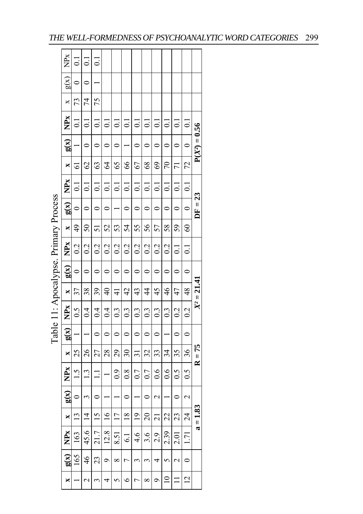|                                       | NP <sub>x</sub>          |                           | $\overline{\circ}$ | $\Xi$          |                    |                |                  |                          |                    |                   |                |                 |                   |                 |  |  |  |  |  |  |  |  |
|---------------------------------------|--------------------------|---------------------------|--------------------|----------------|--------------------|----------------|------------------|--------------------------|--------------------|-------------------|----------------|-----------------|-------------------|-----------------|--|--|--|--|--|--|--|--|
|                                       | $\frac{1}{2}$            | $\circ$                   | $\circ$            |                |                    |                |                  |                          |                    |                   |                |                 |                   |                 |  |  |  |  |  |  |  |  |
|                                       | ×                        | 73                        | $\overline{7}$     | 75             |                    |                |                  |                          |                    |                   |                |                 |                   |                 |  |  |  |  |  |  |  |  |
|                                       | NP <sub>x</sub>          | $\Xi$                     | $\overline{c}$     | $\overline{0}$ | $\overline{\circ}$ | $\overline{c}$ | $\overline{0}$   | $\overline{\phantom{0}}$ | $\overline{\circ}$ | $\overline{c}$    | $\vec{c}$      | $\overline{c}$  | $\overline{c}$    |                 |  |  |  |  |  |  |  |  |
|                                       | g(x)                     |                           | $\circ$            | $\circ$        | $\circ$            | $\circ$        |                  | $\circ$                  | $\circ$            | $\circ$           | $\circ$        | $\circ$         | $\circ$           | $P(X^2) = 0.56$ |  |  |  |  |  |  |  |  |
|                                       | ×                        | 5                         | $\mathcal{S}$      | 63             | $\mathcal{L}$      | 65             | 66               | 67                       | $\frac{8}{3}$      | 69                | $\tilde{\sim}$ | $\overline{7}$  | 72                |                 |  |  |  |  |  |  |  |  |
|                                       | <b>NP<sub>x</sub></b>    | $\Xi$                     | $\overline{0}$     | $\overline{C}$ | $\overline{\circ}$ | $\overline{c}$ | $\overline{0}$   | $\overline{c}$           | $\overline{c}$     | $\overline{0}$    | $\overline{c}$ | $\overline{0}$  | $\overline{c}$    |                 |  |  |  |  |  |  |  |  |
|                                       | g(x)                     | $\circ$                   | $\circ$            | $\circ$        | $\circ$            |                | $\circ$          | $\circ$                  | $\circ$            | $\circ$           | $\circ$        | $\circ$         | $\circ$           | $DF = 23$       |  |  |  |  |  |  |  |  |
|                                       | $\times$                 | $\frac{4}{9}$             | 50                 | 51             | 52                 | 53             | 54               | 55                       | 56                 | 57                | 58             | 59              | $\Im$             |                 |  |  |  |  |  |  |  |  |
|                                       | <b>NPx</b>               | 0.2                       | 0.2                | 0.2            | 0.2                | 0.2            | 0.2              | 0.2                      | 0.2                | 0.2               | 0.2            | $\overline{c}$  | $\overline{0}$    |                 |  |  |  |  |  |  |  |  |
| Table 11: Apocalypse. Primary Process | g(x)                     | $\circ$                   | $\circ$            | $\circ$        | $\circ$            | $\circ$        | $\circ$          | $\circ$                  | $\circ$            | $\circ$           | $\circ$        | $\circ$         | $\circ$           |                 |  |  |  |  |  |  |  |  |
|                                       | X                        | 37                        | 38                 | 39             | $\frac{1}{4}$      | $\frac{1}{4}$  | $\overline{4}$   | 43                       | 4                  | 45                | $\frac{4}{6}$  | 47              | 48                | $X^2 = 21.41$   |  |  |  |  |  |  |  |  |
|                                       | <b>NPx</b>               | $\widetilde{\phantom{a}}$ | $\overline{0.4}$   | 0.4            | 0.4                | 0.3            | $0.\overline{3}$ | 0.3                      | $0.\overline{3}$   | $0.\overline{3}$  | 0.3            | 0.2             | 0.2               |                 |  |  |  |  |  |  |  |  |
|                                       | g(x)                     |                           |                    | $\circ$        | $\circ$            | $\circ$        | $\circ$          | $\circ$                  | $\circ$            | $\circ$           |                | $\circ$         | $\circ$           |                 |  |  |  |  |  |  |  |  |
|                                       | X                        | 25                        | $\frac{26}{5}$     | 27             | 28                 | $29 -$         | 30 <sub>o</sub>  | $\frac{1}{3}$            | $\overline{32}$    | 33                | 34             | 35              | 36                | $R = 75$        |  |  |  |  |  |  |  |  |
|                                       | NPx                      | 1.5                       | $\frac{13}{2}$     | $\Xi$          |                    | $_{0.9}$       | 0.8              | 0.7                      | 0.7                | 0.6               | 0.6            | 0.5             | $\widetilde{0}$ . |                 |  |  |  |  |  |  |  |  |
|                                       | g(x)                     | $\circ$                   | $\epsilon$         | $\circ$        |                    |                | $\circ$          |                          | $\circ$            | $\mathbf{\Omega}$ |                | $\circ$         | $\sim$            |                 |  |  |  |  |  |  |  |  |
|                                       | ×                        | $\mathbf{r}$              | $\frac{4}{3}$      | $\frac{15}{2}$ | $\frac{6}{1}$      | $\overline{1}$ | $\frac{8}{18}$   | $\frac{1}{2}$            | $\overline{20}$    | $\overline{21}$   | 22             | $\tilde{c}$     | $\frac{24}{5}$    | $a = 1.83$      |  |  |  |  |  |  |  |  |
|                                       | NPx                      | 163                       | 45.6               | 21.7           | 12.8               | 8.51           | 6.1              | 4.6                      | 3.6                | 2.9               | 2.39           | 2.01            | $\overline{1}$    |                 |  |  |  |  |  |  |  |  |
|                                       | $\mathbf{g}(\mathbf{x})$ | 165                       | $\frac{4}{6}$      | 23             | $\circ$            | $\infty$       | $\overline{C}$   | 3                        | $\epsilon$         | 4                 | $\varsigma$    | $\mathbf{\sim}$ | $\circ$           |                 |  |  |  |  |  |  |  |  |
|                                       | ×                        |                           | $\mathbf{c}$       | 3              | $\overline{a}$     | 5              | $\circ$          | $\overline{C}$           | $\infty$           | $\circ$           | $\approx$      | $\equiv$        | $\overline{c}$    |                 |  |  |  |  |  |  |  |  |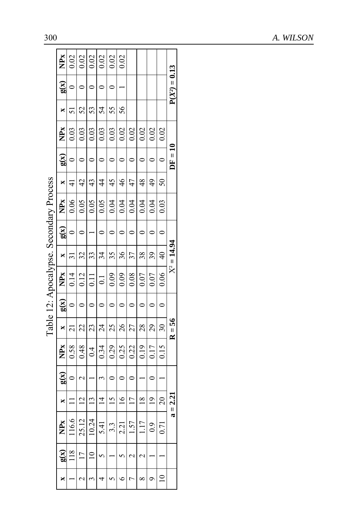|                         |                  |                 |                                      |                 |                 |         | $\frac{1}{2}$ abie $\frac{1}{2}$ . Apocaly pse. Secondary Frocess |               |         |                 |                |           |                 |    |                                      |                 |
|-------------------------|------------------|-----------------|--------------------------------------|-----------------|-----------------|---------|-------------------------------------------------------------------|---------------|---------|-----------------|----------------|-----------|-----------------|----|--------------------------------------|-----------------|
| NP <sub>x</sub><br>g(x) |                  | ×               | $\widetilde{\mathbf{g}}(\mathbf{x})$ | NP <sub>x</sub> | $\times$        | g(x)    | NP <sub>X</sub>                                                   | $\times$      | g(x)    | NP <sub>x</sub> | ×              | g(x)      | NP <sub>x</sub> | ×  | $\widetilde{\mathbf{g}}(\mathbf{x})$ | NP <sub>x</sub> |
| $\frac{8}{118}$         | 116.6            | $\equiv$        | $\circ$                              | 0.58            | $\overline{2}1$ | $\circ$ | 0.14                                                              | $\Xi$         | $\circ$ | 0.06            | $\frac{1}{4}$  | $\circ$   | 0.03            | 51 | $\circ$                              | 0.02            |
| $\overline{17}$         | 25.12            | $\overline{c}$  | Z                                    | 0.48            | 22              | $\circ$ | 0.12                                                              | 32            | $\circ$ | 0.05            | $\overline{4}$ | $\circ$   | 0.03            | 52 | $\circ$                              | 0.02            |
| $\overline{a}$          | 10.24            | $\overline{13}$ |                                      | 0.4             | 23              | $\circ$ | $\overline{0}$                                                    | 33            |         | 0.05            | 43             | $\circ$   | 0.03            | 53 | $\circ$                              | 0.02            |
| $\mathbf{\hat{z}}$      | 5.41             | $\vec{4}$       | 3                                    | 0.34            | $\overline{24}$ | $\circ$ | $\overline{0}$ :                                                  | 34            | $\circ$ | 0.05            | $\frac{4}{4}$  | $\circ$   | 0.03            | 54 | $\circ$                              | 0.02            |
|                         | $3.\overline{3}$ | $\overline{51}$ | $\circ$                              | 0.29            | 25              | $\circ$ | 0.09                                                              | 35            | $\circ$ | 0.04            | 45             | $\circ$   | 0.03            | 55 | $\circ$                              | 0.02            |
| 5                       | 2.21             | $\frac{6}{2}$   | $\circ$                              | 0.25            | 26              | $\circ$ | 0.09                                                              | 36            | $\circ$ | 0.04            | $\frac{4}{6}$  | $\circ$   | 0.02            | 56 |                                      | 0.02            |
| $\mathbf{C}$            | 1.57             | $\overline{11}$ | $\circ$                              | 0.22            | 27              | $\circ$ | 0.08                                                              | 37            | $\circ$ | 0.04            | 47             | $\circ$   | 0.02            |    |                                      |                 |
| 2                       | 117              | $\frac{8}{18}$  |                                      | 0.19            | 28              | $\circ$ | 0.07                                                              | 38            | $\circ$ | 0.04            | $\frac{48}{5}$ | $\circ$   | 0.02            |    |                                      |                 |
|                         | 0.9              | $\overline{0}$  | $\circ$                              | 0.17            | 29              | $\circ$ | 0.07                                                              | 39            | $\circ$ | 0.04            | 49             | $\circ$   | 0.02            |    |                                      |                 |
|                         | 0.71             | 20              |                                      | 0.15            | 30              | $\circ$ | 0.06                                                              | $\frac{4}{5}$ | $\circ$ | 0.03            | 50             | $\circ$   | 0.02            |    |                                      |                 |
|                         |                  | $a = 2.21$      |                                      |                 | $R = 56$        |         |                                                                   | $X^2 = 14.94$ |         |                 |                | $DF = 10$ |                 |    | $P(X^2) = 0$                         | 0.13            |
|                         |                  |                 |                                      |                 |                 |         |                                                                   |               |         |                 |                |           |                 |    |                                      |                 |

Secondary Process Table 12: Apocalypse. Secondary Process Table  $12 \cdot \text{And}\\$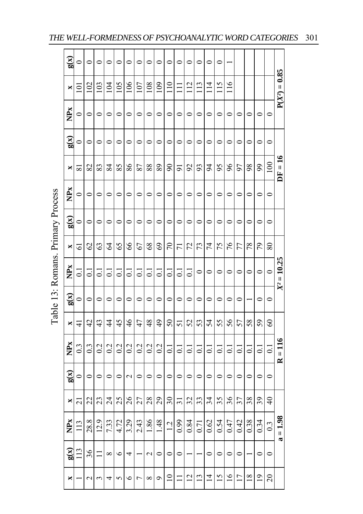|                          | g(x)            | 0              | $\circ$                  | $\circ$        | $\circ$          | $\circ$            | $\circ$            | $\circ$            | $\circ$                  | $\circ$                  | $\circ$            |                    | $\circ$        | $\circ$        | $\circ$         | $\circ$        |                 |                    |                 |                |                  |                                     |  |
|--------------------------|-----------------|----------------|--------------------------|----------------|------------------|--------------------|--------------------|--------------------|--------------------------|--------------------------|--------------------|--------------------|----------------|----------------|-----------------|----------------|-----------------|--------------------|-----------------|----------------|------------------|-------------------------------------|--|
|                          | ×               | Ξ              | $\approx$                | 103            | 104              | 105                | $\frac{8}{10}$     | 107                | 108                      | 109                      | $\frac{1}{10}$     | Ξ                  | 112            | $\frac{13}{2}$ | $\frac{1}{4}$   | 115            | $\frac{6}{11}$  |                    |                 |                |                  | $P(X^2) = 0.85$                     |  |
|                          | <b>NPx</b>      | $\circ$        | $\circ$                  | $\circ$        | $\circ$          | $\circ$            | $\circ$            | $\circ$            | 0                        | $\circ$                  | $\circ$            | 0                  | $\circ$        | $\circ$        | $\circ$         | $\circ$        | $\circ$         | $\circ$            | $\circ$         | 0              | $\circ$          |                                     |  |
|                          | g(x)            | $\circ$        | $\circ$                  | 0              | $\circ$          | $\circ$            | $\circ$            | $\circ$            | $\circ$                  | $\circ$                  | $\circ$            | $\circ$            | $\circ$        | $\circ$        | $\circ$         | $\circ$        | $\circ$         | $\circ$            | $\circ$         | 0              | $\circ$          |                                     |  |
|                          | ×               | ವ              | 82                       | 83             | 84               | 85                 | 86                 | 87                 | 88                       | 89                       | $\infty$           | ಸ                  | 92             | 93             | $\overline{5}$  | 95             | 96              | 57                 | 98              | 99             | 100              | $DF = 16$                           |  |
|                          | NP <sub>x</sub> | 0              | 0                        | 0              | $\circ$          | 0                  | 0                  | $\circ$            | 0                        | 0                        | $\circ$            | 0                  | $\circ$        | 0              | 0               | 0              | 0               | 0                  | $\circ$         | ⊂              | $\circ$          |                                     |  |
| $\overline{\phantom{0}}$ | $g(\chi)$       | 0              | $\circ$                  | $\circ$        | $\circ$          | $\circ$            | $\circ$            | $\circ$            | 0                        | $\circ$                  | $\circ$            | $\circ$            | $\circ$        | $\circ$        | $\circ$         | $\circ$        | $\circ$         | $\circ$            | $\circ$         | $\circ$        | $\circ$          |                                     |  |
|                          | ×               | 5              | C)                       | 63             | 2                | 65                 | 66                 | 67                 | 8 <sup>o</sup>           | 69                       | $\sqrt{2}$         | $\overline{7}$     | 72             | 73             | 74              | 75             | 76              | 77                 | 78              | 29             | 80               |                                     |  |
|                          | <b>NPx</b>      | ಪ              | $\overline{\phantom{0}}$ | ៑              | $\Xi$            | $\overline{\circ}$ | $\overline{\circ}$ | $\overline{\circ}$ | $\overline{\phantom{0}}$ | $\overline{\phantom{0}}$ | $\overline{\circ}$ | $\overline{\circ}$ | $\overline{C}$ | $\circ$        | $\circ$         | $\circ$        | $\circ$         | 0                  | $\circ$         | $\circ$        | $\circ$          | $= 10.25$                           |  |
|                          | g(x)            | $\circ$        | 0                        | 0              | 0                | $\circ$            | 0                  | $\circ$            | 0                        | $\circ$                  | $\circ$            | 0                  | $\circ$        | 0              | 0               | $\circ$        | 0               |                    |                 | 0              | $\circ$          | $\mathbb{R}^2$                      |  |
|                          | ×               | ₹              | $\overline{42}$          | 43             | $\frac{4}{3}$    | 45                 | $\frac{4}{6}$      | 47                 | 48                       | 49                       | $50\,$             | ದ                  | 52             | 53             | 54              | 55             | 56              | 57                 | 58              | 59             | $\mathcal{S}$    |                                     |  |
|                          | NPx             | $\overline{0}$ | $0.\overline{3}$         | $\overline{0}$ | $\overline{0.2}$ | 0.2                | 0.2                | 0.2                | 0.2                      | 0.2                      | $\overline{0}$     | $\overline{\circ}$ | $\overline{0}$ | $\overline{c}$ | $\overline{c}$  | $\Xi$          | ದ               | $\overline{\circ}$ | $\overline{c}$  | ದ              | $\overline{0}$   | $=116$<br>$\overline{\mathbf{z}}$   |  |
|                          | g(x)            | 0              | $\circ$                  | 0              | $\circ$          | $\circ$            | $\mathbf{\sim}$    | $\circ$            | 0                        | $\circ$                  | $\circ$            | 0                  | $\circ$        | $\circ$        | $\circ$         | $\circ$        | $\circ$         | 0                  | $\circ$         | $\circ$        | $\circ$          |                                     |  |
|                          | ×               | ಸ              | 22                       | 23             | $\overline{24}$  | 25                 | 26                 | 27                 | 28                       | 29                       | 30                 | ಸ                  | 32             | 33             | $\overline{34}$ | 35             | 36              | 37                 | 38              | 39             | $\frac{1}{4}$    |                                     |  |
|                          | NP <sub>x</sub> | $\frac{13}{2}$ | 28.8                     | 12.9           | 7.33             | 4.72               | 3.29               | 2.43               | 1.86                     | 1.48                     | $\overline{12}$    | 0.99               | 0.84           | 0.71           | 0.62            | 0.54           | 0.47            | 0.42               | 0.38            | 0.34           | $0.\overline{3}$ | $= 1.98$<br>$\mathbf{\overline{a}}$ |  |
|                          | g(x)            | 113            | 36                       |                | $^{\circ}$       | $\circ$            | 4                  |                    | $\mathbf{\sim}$          | $\circ$                  | $\circ$            | 0                  |                |                | $\circ$         | $\circ$        | $\circ$         | $\circ$            |                 | $\circ$        | $\circ$          |                                     |  |
|                          | ×               |                | $\mathbf{\sim}$          | 3              | 4                | 5                  | $\circ$            | $\overline{ }$     | $\infty$                 | ç                        | $\supseteq$        | Ξ                  | $\overline{2}$ | $\mathbf{L}$   | $\overline{4}$  | $\overline{5}$ | $\overline{16}$ | $\overline{11}$    | $\overline{18}$ | $\overline{9}$ | $\overline{c}$   |                                     |  |

Table 13: Romans. Primary Process Table 13: Romans. Primary Process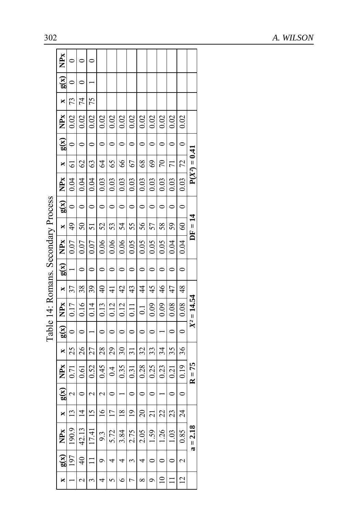|                                     | NP <sub>x</sub>        |                      | 0               |                       |                      |                 |                 |                |                |                          |                |                |                      |                 |
|-------------------------------------|------------------------|----------------------|-----------------|-----------------------|----------------------|-----------------|-----------------|----------------|----------------|--------------------------|----------------|----------------|----------------------|-----------------|
|                                     | g(x)                   | $\circ$              | $\circ$         |                       |                      |                 |                 |                |                |                          |                |                |                      |                 |
|                                     | ×                      | 73                   | 74              | 75                    |                      |                 |                 |                |                |                          |                |                |                      |                 |
|                                     | NPx                    | 0.02                 | 0.02            | 0.02                  | 0.02                 | 0.02            | 0.02            | 0.02           | 0.02           | 0.02                     | 0.02           | 0.02           | 0.02                 |                 |
|                                     | g(x)                   | $\circ$              | $\circ$         | $\circ$               | $\circ$              | $\circ$         | $\circ$         | $\circ$        | $\circ$        | $\circ$                  | $\circ$        | $\circ$        | $\circ$              |                 |
|                                     | $\mathbf{x}$           | $\overline{61}$      | $\mathcal{O}$   | 63                    | $\frac{6}{4}$        | 65              | $\delta$        | 67             | 68             | $\mathcal{S}$            | $\overline{2}$ | $\overline{7}$ | 72                   | $P(X^2) = 0.41$ |
|                                     | NP <sub>x</sub>        | 0.04                 | 0.04            | 0.04                  | 0.03                 | 0.03            | 0.03            | 0.03           | 0.03           | 0.03                     | 0.03           | 0.03           | 0.03                 |                 |
|                                     | $\frac{g(x)}{g(x)}$    | $\circ$              | $\circ$         | $\circ$               | $\circ$              | $\circ$         | $\circ$         | $\circ$        | $\circ$        | $\circ$                  | $\circ$        | $\circ$        | $\circ$              |                 |
|                                     | $\mathbf{x}$           |                      | $\overline{50}$ | $\overline{51}$       |                      |                 | 54              | 55             | 56             | 57                       | $\frac{58}{2}$ | 59             |                      | $DF = 14$       |
|                                     | NP <sub>x</sub>        | $0.07 \,   \, 49$    | 0.07            | 0.07                  | $0.06$   52          | $0.06$   53     | 0.06            | 0.05           | 0.05           | 0.05                     | 0.05           | 0.04           | $0.04$   60          |                 |
| Table 14: Romans. Secondary Process | g(x)                   |                      | $\circ$         | $\circ$               | $\circ$              | $\circ$         | $\circ$         | $\circ$        | $\circ$        | $\overline{0}$           | $\circ$        | $\circ$        | $\ddot{\phantom{0}}$ |                 |
|                                     | $\frac{1}{\mathbf{X}}$ | $-37.$               | 38              | 39                    | $\overline{40}$      | $\frac{1}{4}$   | $\overline{d}$  | $\frac{43}{5}$ | $\frac{4}{3}$  | 45                       | $\frac{46}{5}$ | 47             | 48                   |                 |
|                                     | NP <sub>x</sub>        | 0.17                 | 0.16            | 0.14                  | 0.13                 | 0.12            | 0.12            | 0.11           | $\overline{c}$ | 0.09                     | 0.09           | 0.08           | 0.08                 | $X^2 = 14.54$   |
|                                     | $x \mid g(x)$          | $\ddot{\phantom{0}}$ | $\circ$         |                       | $\circ$              | $\circ$         | $\circ$         | $\circ$        | $\circ$        | $\overline{\phantom{0}}$ |                | $\circ$        | $\overline{0}$       |                 |
|                                     |                        | 1251                 |                 | 27                    | $-28 - 1$            | $-291$          | 30 <sub>1</sub> | $\frac{31}{2}$ | 32             | $\frac{33}{2}$           | 34             | 35             |                      |                 |
|                                     | NPx                    | 0.71                 | $0.61$   26     | 0.52                  | 0.45                 | 0.4             | 0.35            | $-0.31 -$      | 0.28           | 0.25                     | 0.23           | 0.21           | $ 0.19 $ 36          | $R = 75$        |
|                                     | g(x)                   | $\frac{2}{\sqrt{2}}$ | $\circ$         | $\sim$                | $\frac{2}{\sqrt{2}}$ | $\circ$         |                 | $\circ$        | $\circ$        | $\circ$                  |                | $\circ$        | $\circ$              |                 |
|                                     | $\mathbf{x}$           | $\mathbf{r}$         | $\overline{4}$  | $\frac{5}{2}$         | $-16.1$              | $\overline{17}$ | $\frac{8}{18}$  | $\frac{1}{2}$  | $\overline{c}$ | $\frac{1}{21}$           | $\mathfrak{Z}$ | 23             | $\frac{24}{ }$       |                 |
|                                     | <b>NPx</b>             | 190.9                | 42.13           | 17.41                 | 9.3                  | 5.72            | 3.84            | 2.75           | 2.05           | $1.59 -$                 | 1.26           | 1.03           | 0.85                 | $a = 2.18$      |
|                                     | g(x)                   | 197                  | $\overline{40}$ | $\equiv$              | $\circ$              | 4               | 4               | 3              | 4              | $\circ$                  | $\circ$        | $\circ$        | $\sim$               |                 |
|                                     | ×                      |                      | $\sim$          | $\tilde{\phantom{a}}$ | 4                    | $\sigma$        | $\circ$         | $\mathsf{r}$   | $\infty$       | $\circ$                  | $\supseteq$    |                | $\vec{c}$            |                 |

| ててくり             |
|------------------|
| こうへんせい へんかん<br>Č |
| באי האי ה        |
| ì                |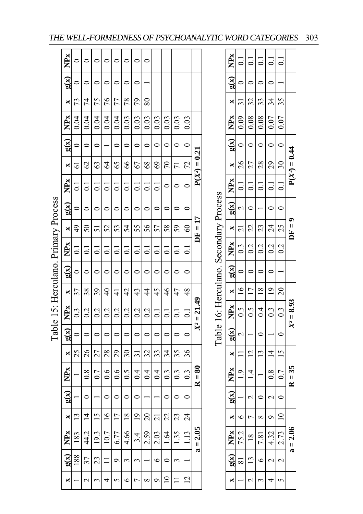|                                      | <b>NPx</b>      | 0                | 0                      | $\circ$            | $\circ$        | $\circ$            | $\bullet$      | 0                | $\circ$         |                |                  |                    |                 |                      |                                        | NPx                      | $\vec{\circ}$       | $\vec{\circ}$     | $\overline{C}$ | $\overline{0}$ .         | $\overline{c}$           |
|--------------------------------------|-----------------|------------------|------------------------|--------------------|----------------|--------------------|----------------|------------------|-----------------|----------------|------------------|--------------------|-----------------|----------------------|----------------------------------------|--------------------------|---------------------|-------------------|----------------|--------------------------|--------------------------|
|                                      | g(x)            | 0                | $\circ$                | $\circ$            | 0              | $\circ$            | $\circ$        | $\circ$          |                 |                |                  |                    |                 |                      |                                        | $\mathbf{g}(\mathbf{x})$ | $\circ$             | $\circ$           | 0              | $\circ$                  |                          |
|                                      | ×               | 73               | 74                     | 75                 | 76             | 77                 | 78             | 79               | $80\,$          |                |                  |                    |                 |                      |                                        | ×                        | $\overline{31}$     | 32                | 33             | 34                       | 35                       |
|                                      | NP <sub>x</sub> | 0.04             | 0.04                   | 0.04               | 0.04           | 0.04               | 0.03           | 0.03             | 0.03            | 0.03           | 0.03             | 0.03               | 0.03            |                      |                                        | NPx                      | 0.09                | 0.08              | 0.08           | 0.07                     | 0.07                     |
|                                      | g(x)            | 0                | $\circ$                | $\circ$            |                | $\circ$            | $\circ$        | $\circ$          | $\circ$         | $\circ$        | $\circ$          | $\circ$            | $\circ$         |                      |                                        | g(x)                     | $\circ$             | $\circ$           | 0              | $\circ$                  | $\circ$                  |
|                                      | ×               | $\overline{5}$   | 62                     | 63                 | $\overline{6}$ | 65                 | 66             | 67               | 68              | 69             | 70               | $\overline{7}$     | 72              | $P(X^2) = 0.21$      |                                        | ×                        | 26                  | 27                | 28             | 29                       | $30\,$                   |
|                                      | NP <sub>x</sub> | $\overline{C}$   | $\overline{\circ}$     | $\overline{\circ}$ | $\overline{0}$ | $\overline{0}$     | $\overline{0}$ | $\Xi$            | $\overline{C}$  | $\overline{C}$ | $\circ$          | $\circ$            | $\mathbf{C}$    |                      |                                        | NP <sub>x</sub>          | $\overline{0}$      | $\overline{0}$    | $\overline{0}$ | $\overline{0}$           | $\overline{C}$           |
|                                      | g(x)            | $\circ$          | $\circ$                | $\bullet$          | $\circ$        | $\circ$            | $\circ$        | $\bullet$        | $\circ$         | $\circ$        | $\circ$          | $\circ$            | $\circ$         |                      |                                        | g(x)                     | $\mathbf{\sim}$     | $\circ$           |                | $\circ$                  | $\circ$                  |
|                                      | ×               | 49               | 50                     | 51                 | 52             | 53                 | 54             | 55               | 56              | 57             | 58               | 59                 | $\Im$           | $DF = 17$            |                                        | ×                        | $\overline{a}$      | 22                | 23             | 24                       | 25                       |
|                                      | NP <sub>x</sub> | $\overline{C}$   | ៊                      | $\overline{\circ}$ | ತ              | $\overline{\circ}$ | ៑              | ៑                | $\Xi$           | ತ              | $\overline{0}$   | $\overline{\circ}$ | $\overline{0}$  |                      | Table 16: Herculano. Secondary Process | NP <sub>x</sub>          | $0.\overline{3}$    | 0.2               | 0.2            | 0.2                      | 0.2                      |
| Table 15: Herculano. Primary Process | g(x)            | $\circ$          | $\circ$                | $\circ$            | $\circ$        | $\circ$            | $\circ$        | $\circ$          | $\circ$         | $\circ$        | $\circ$          | $\circ$            | $\circ$         |                      |                                        | g(x)                     | $\circ$             | 0                 | 0              | $\circ$                  |                          |
|                                      | $\times$        | 37               | 38                     | 39                 | $\frac{1}{4}$  | $\frac{1}{4}$      | $\overline{4}$ | 43               | $\frac{4}{3}$   | 45             | 46               | 47                 | 48              |                      |                                        | ×                        | $\frac{8}{1}$       | $\overline{17}$   | $\frac{8}{18}$ | $\frac{1}{2}$            | $\overline{20}$          |
|                                      | <b>NPx</b>      | $0.\overline{3}$ | 0.2                    | 0.2                | 0.2            | 0.2                | 0.2            | 0.2              | 0.2             | $\Xi$          | $\overline{C}$   | $\overline{C}$     | $\overline{0}$  | $X^2 = 21.49$        |                                        | NP <sub>x</sub>          | $\widetilde{0}$ .   | $\widetilde{0}$ . | 0.4            | $0.\overline{3}$         | $0.\overline{3}$         |
|                                      | g(x)            | $\circ$          | $\circ$                | $\circ$            | $\circ$        | $\circ$            | $\circ$        | $\circ$          | $\circ$         | $\circ$        | $\circ$          | $\circ$            | $\circ$         |                      |                                        | g(x)                     | 2                   |                   | $\circ$        |                          | $\circ$                  |
|                                      | ×               | 25               | 26                     | 27                 | 28             | 29                 | $30\,$         | $\Xi$            | 32              | 33             | 34               | 35                 | 36              |                      |                                        | ×                        | $\equiv$            | $\overline{c}$    | $\mathbf{1}$   | $\overline{1}$           | $\frac{5}{2}$            |
|                                      | <b>NPx</b>      |                  | $\overline{0.8}$       | 0.7                | 0.6            | 0.6                | 0.5            | $\overline{0.4}$ | 0.4             | 0.4            | $0.\overline{3}$ | $0.\overline{3}$   | $\overline{0}$  | $= 80$<br>$\approx$  |                                        | NP <sub>x</sub>          | $\frac{1}{2}$       | $\bar{4}$         |                | $\frac{8}{2}$            | 0.7                      |
|                                      | g(x)            |                  | 0                      |                    | $\circ$        | $\circ$            | $\circ$        | $\circ$          |                 |                | $\circ$          | $\circ$            | $\circ$         |                      |                                        | g(x)                     |                     | $\mathbf 2$       | 0              | $\overline{\mathcal{C}}$ | $\circ$                  |
|                                      | ×               | $\mathbf{1}$     | $\overline{4}$         | $\frac{5}{2}$      | $\frac{6}{1}$  | $\overline{17}$    | $\frac{8}{18}$ | $\overline{19}$  | $\overline{20}$ | $\overline{c}$ | 22               | 23                 | $\overline{24}$ |                      |                                        | ×                        | 6                   | $\overline{ }$    | $\infty$       | Ó                        | $\approx$                |
|                                      | NPx             | 183              | 44.2                   | 19.3               | 10.7           | 6.77               | 4.66           | 3.4              | 2.59            | 2.03           | 1.64             | 1.35               | $\frac{13}{2}$  | 2.05<br>$\mathbf{H}$ |                                        | NP <sub>x</sub>          | 75.2                | $\frac{8}{18}$    | 7.81           | 4.32                     | 2.73                     |
|                                      | g(x)            | 188              | 37                     | 23                 |                | $\circ$            | 3              | 3                |                 | $\circ$        | 0                | $\epsilon$         |                 | $\mathbf{\alpha}$    |                                        | $g(\mathbf{x})$          | $\overline{\infty}$ | $\overline{13}$   | $\circ$        | $\mathbf{\Omega}$        | $\overline{\mathcal{C}}$ |
|                                      | ×               |                  | $\mathbf{\mathcal{L}}$ | 3                  | 4              | $\sigma$           | $\circ$        | $\overline{ }$   | $\infty$        | $\circ$        | $\Xi$            | Ξ                  | $\overline{c}$  |                      |                                        | ×                        |                     | $\mathcal{L}$     | 3              | 4                        | $\sigma$                 |
|                                      |                 |                  |                        |                    |                |                    |                |                  |                 |                |                  |                    |                 |                      |                                        |                          |                     |                   |                |                          |                          |

**a** = 2.06 **R** = 35

 $a = 2.06$ 

 $35$  $\ensuremath{\mathsf{H}}$  $\approx$ 

 $X^2 = 8.93$ 

**8.93 DF = 9 P(***X²***) = 0.44**

Ĕ

 $\bullet$ Τì

 $P(X^2) = 0.44$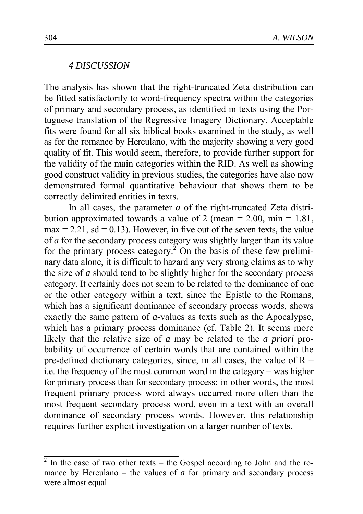#### *4 DISCUSSION*

The analysis has shown that the right-truncated Zeta distribution can be fitted satisfactorily to word-frequency spectra within the categories of primary and secondary process, as identified in texts using the Portuguese translation of the Regressive Imagery Dictionary. Acceptable fits were found for all six biblical books examined in the study, as well as for the romance by Herculano, with the majority showing a very good quality of fit. This would seem, therefore, to provide further support for the validity of the main categories within the RID. As well as showing good construct validity in previous studies, the categories have also now demonstrated formal quantitative behaviour that shows them to be correctly delimited entities in texts.

In all cases, the parameter *a* of the right-truncated Zeta distribution approximated towards a value of 2 (mean =  $2.00$ , min =  $1.81$ ,  $max = 2.21$ ,  $sd = 0.13$ ). However, in five out of the seven texts, the value of *a* for the secondary process category was slightly larger than its value for the primary process category.<sup>2</sup> On the basis of these few preliminary data alone, it is difficult to hazard any very strong claims as to why the size of *a* should tend to be slightly higher for the secondary process category. It certainly does not seem to be related to the dominance of one or the other category within a text, since the Epistle to the Romans, which has a significant dominance of secondary process words, shows exactly the same pattern of *a-*values as texts such as the Apocalypse, which has a primary process dominance (cf. Table 2). It seems more likely that the relative size of *a* may be related to the *a priori* probability of occurrence of certain words that are contained within the pre-defined dictionary categories, since, in all cases, the value of  $R$ i.e. the frequency of the most common word in the category – was higher for primary process than for secondary process: in other words, the most frequent primary process word always occurred more often than the most frequent secondary process word, even in a text with an overall dominance of secondary process words. However, this relationship requires further explicit investigation on a larger number of texts.

 $2 \text{ In the case of two other texts - the Gospel according to John and the ro-}$ mance by Herculano – the values of  $a$  for primary and secondary process were almost equal.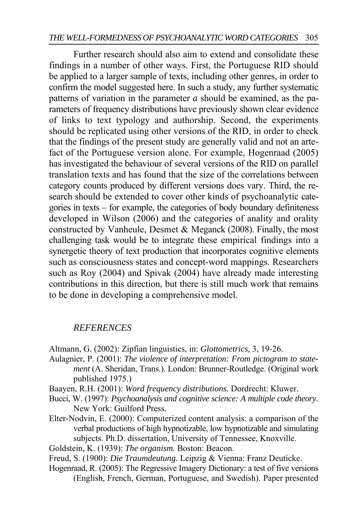Further research should also aim to extend and consolidate these findings in a number of other ways. First, the Portuguese RID should be applied to a larger sample of texts, including other genres, in order to confirm the model suggested here. In such a study, any further systematic patterns of variation in the parameter *a* should be examined, as the parameters of frequency distributions have previously shown clear evidence of links to text typology and authorship. Second, the experiments should be replicated using other versions of the RID, in order to check that the findings of the present study are generally valid and not an artefact of the Portuguese version alone. For example, Hogenraad (2005) has investigated the behaviour of several versions of the RID on parallel translation texts and has found that the size of the correlations between category counts produced by different versions does vary. Third, the research should be extended to cover other kinds of psychoanalytic categories in texts – for example, the categories of body boundary definiteness developed in Wilson (2006) and the categories of anality and orality constructed by Vanheule, Desmet & Meganck (2008). Finally, the most challenging task would be to integrate these empirical findings into a synergetic theory of text production that incorporates cognitive elements such as consciousness states and concept-word mappings. Researchers such as Roy (2004) and Spivak (2004) have already made interesting contributions in this direction, but there is still much work that remains to be done in developing a comprehensive model.

#### *REFERENCES*

Altmann, G. (2002): Zipfian linguistics, in: *Glottometrics,* 3, 19-26.

- Aulagnier, P. (2001): *The violence of interpretation: From pictogram to statement* (A. Sheridan, Trans.). London: Brunner-Routledge. (Original work published 1975.)
- Baayen, R.H. (2001): *Word frequency distributions.* Dordrecht: Kluwer.
- Bucci, W. (1997): *Psychoanalysis and cognitive science: A multiple code theory.* New York: Guilford Press.
- Elter-Nodvin, E. (2000): Computerized content analysis: a comparison of the verbal productions of high hypnotizable, low hypnotizable and simulating subjects. Ph.D. dissertation, University of Tennessee, Knoxville.
- Goldstein, K. (1939): *The organism.* Boston: Beacon.
- Freud, S. (1900): *Die Traumdeutung.* Leipzig & Vienna: Franz Deuticke.
- Hogenraad, R. (2005): The Regressive Imagery Dictionary: a test of five versions (English, French, German, Portuguese, and Swedish). Paper presented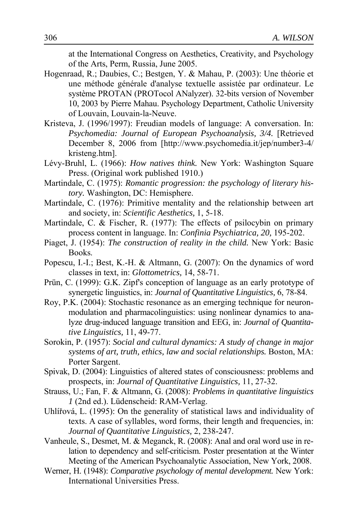at the International Congress on Aesthetics, Creativity, and Psychology of the Arts, Perm, Russia, June 2005.

- Hogenraad, R.; Daubies, C.; Bestgen, Y. & Mahau, P. (2003): Une théorie et une méthode générale d'analyse textuelle assistée par ordinateur. Le système PROTAN (PROTocol ANalyzer). 32-bits version of November 10, 2003 by Pierre Mahau. Psychology Department, Catholic University of Louvain, Louvain-la-Neuve.
- Kristeva, J. (1996/1997): Freudian models of language: A conversation. In: *Psychomedia: Journal of European Psychoanalysis, 3/4.* [Retrieved December 8, 2006 from [http://www.psychomedia.it/jep/number3-4/ kristeng.htm].
- Lévy-Bruhl, L. (1966): *How natives think.* New York: Washington Square Press. (Original work published 1910.)
- Martindale, C. (1975): *Romantic progression: the psychology of literary history.* Washington, DC: Hemisphere.
- Martindale, C. (1976): Primitive mentality and the relationship between art and society, in: *Scientific Aesthetics,* 1, 5-18.
- Martindale, C. & Fischer, R. (1977): The effects of psilocybin on primary process content in language. In: *Confinia Psychiatrica, 20,* 195-202.
- Piaget, J. (1954): *The construction of reality in the child.* New York: Basic Books.
- Popescu, I.-I.; Best, K.-H. & Altmann, G. (2007): On the dynamics of word classes in text, in: *Glottometrics,* 14, 58-71.
- Prün, C. (1999): G.K. Zipf's conception of language as an early prototype of synergetic linguistics, in: *Journal of Quantitative Linguistics,* 6, 78-84.
- Roy, P.K. (2004): Stochastic resonance as an emerging technique for neuronmodulation and pharmacolinguistics: using nonlinear dynamics to analyze drug-induced language transition and EEG, in: *Journal of Quantitative Linguistics,* 11, 49-77.
- Sorokin, P. (1957): *Social and cultural dynamics: A study of change in major systems of art, truth, ethics, law and social relationships.* Boston, MA: Porter Sargent.
- Spivak, D. (2004): Linguistics of altered states of consciousness: problems and prospects, in: *Journal of Quantitative Linguistics,* 11, 27-32.
- Strauss, U.; Fan, F. & Altmann, G. (2008): *Problems in quantitative linguistics 1* (2nd ed.). Lüdenscheid: RAM-Verlag.
- Uhlířová, L. (1995): On the generality of statistical laws and individuality of texts. A case of syllables, word forms, their length and frequencies, in: *Journal of Quantitative Linguistics,* 2, 238-247.
- Vanheule, S., Desmet, M. & Meganck, R. (2008): Anal and oral word use in relation to dependency and self-criticism. Poster presentation at the Winter Meeting of the American Psychoanalytic Association, New York, 2008.
- Werner, H. (1948): *Comparative psychology of mental development.* New York: International Universities Press.